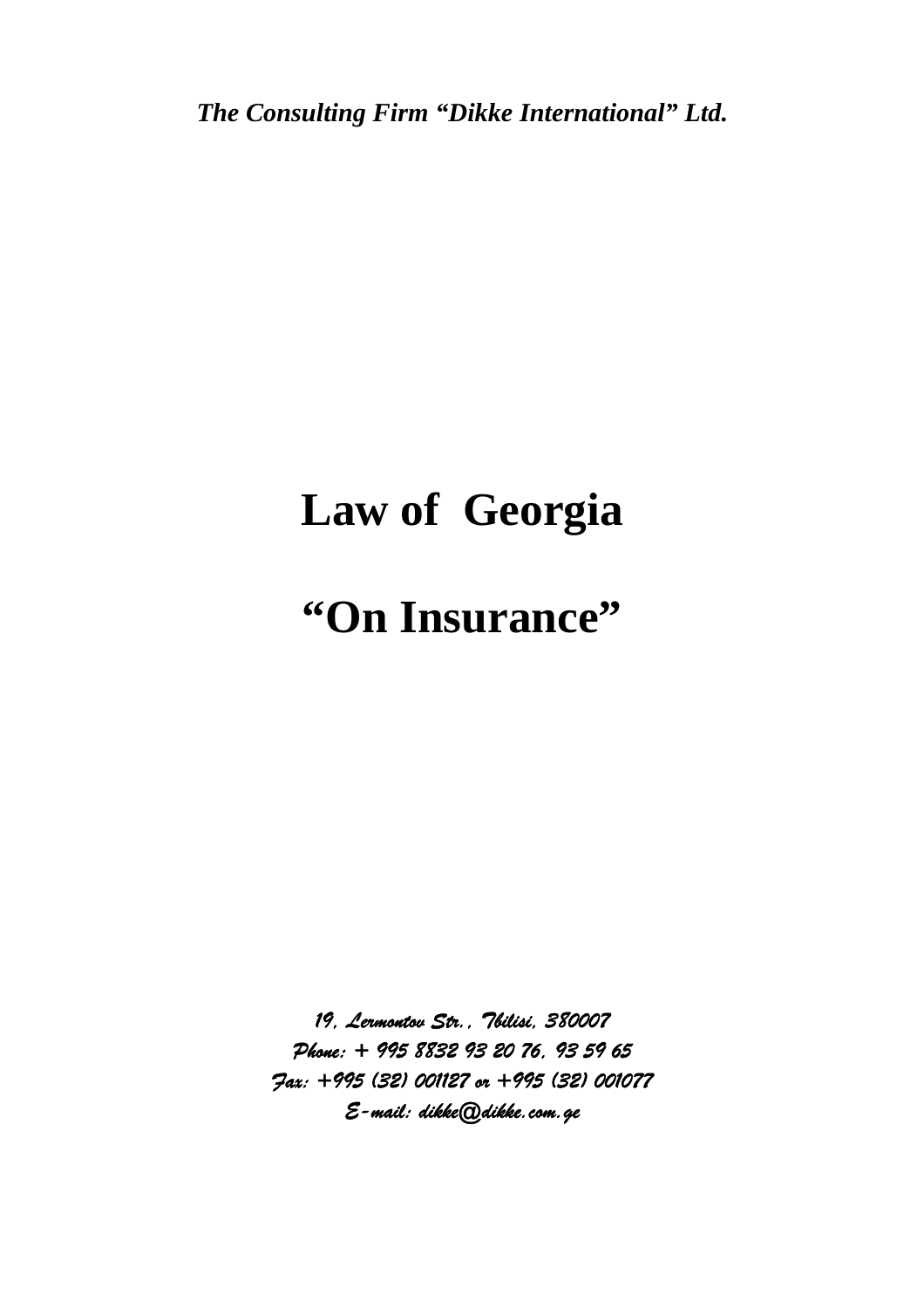*The Consulting Firm "Dikke International" Ltd.* 

# **Law of Georgia**

# **"On Insurance"**

*19, Lermontov Str., Tbilisi, 380007 Phone: + 995 8832 93 20 76, 93 59 65 Fax: +995 (32) 001127 or +995 (32) 001077 E-mail: dikke@dikke.com.ge*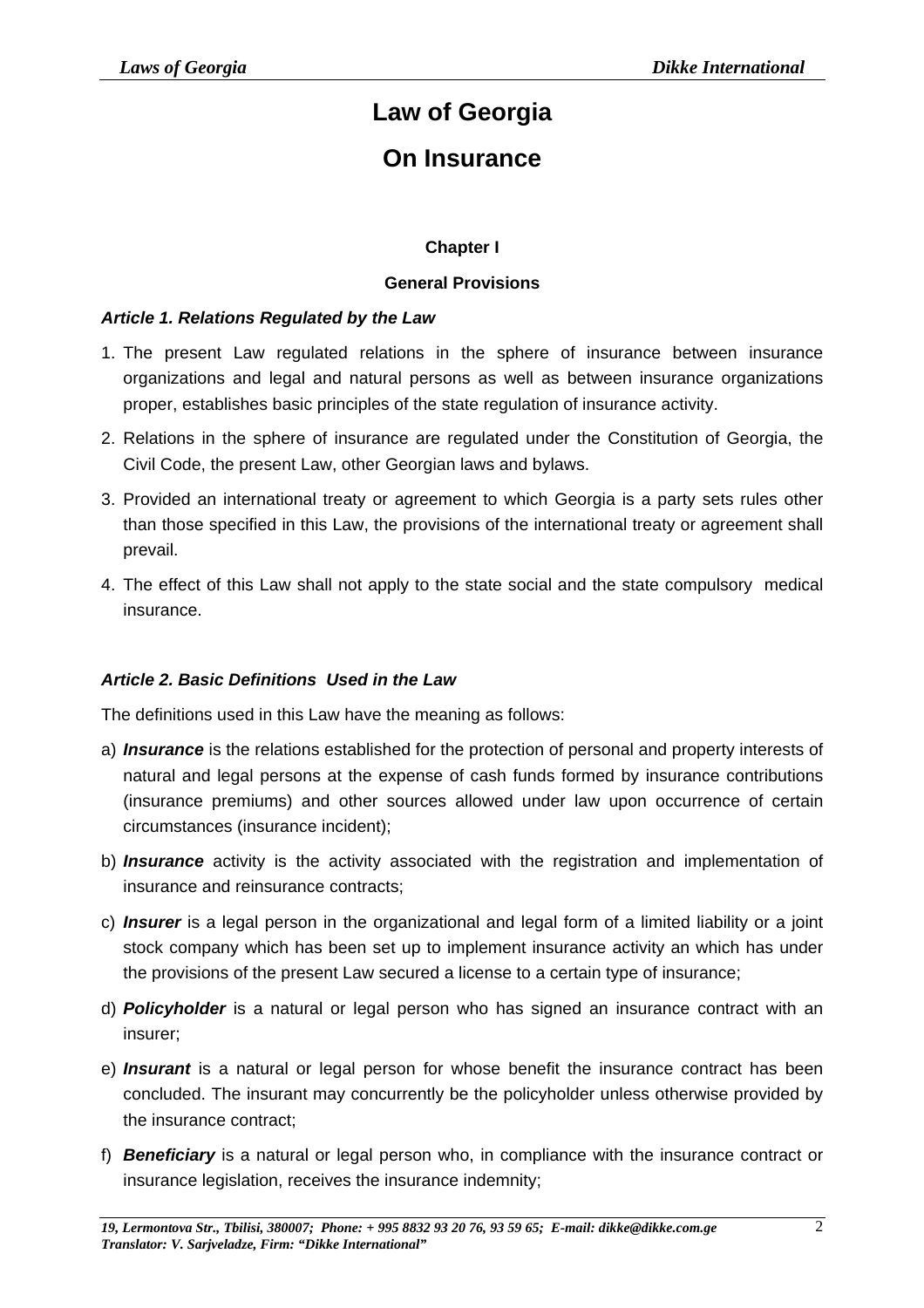## **Law of Georgia**

## **On Insurance**

#### **Chapter I**

#### **General Provisions**

#### *Article 1. Relations Regulated by the Law*

- 1. The present Law regulated relations in the sphere of insurance between insurance organizations and legal and natural persons as well as between insurance organizations proper, establishes basic principles of the state regulation of insurance activity.
- 2. Relations in the sphere of insurance are regulated under the Constitution of Georgia, the Civil Code, the present Law, other Georgian laws and bylaws.
- 3. Provided an international treaty or agreement to which Georgia is a party sets rules other than those specified in this Law, the provisions of the international treaty or agreement shall prevail.
- 4. The effect of this Law shall not apply to the state social and the state compulsory medical insurance.

#### *Article 2. Basic Definitions Used in the Law*

The definitions used in this Law have the meaning as follows:

- a) *Insurance* is the relations established for the protection of personal and property interests of natural and legal persons at the expense of cash funds formed by insurance contributions (insurance premiums) and other sources allowed under law upon occurrence of certain circumstances (insurance incident);
- b) *Insurance* activity is the activity associated with the registration and implementation of insurance and reinsurance contracts;
- c) *Insurer* is a legal person in the organizational and legal form of a limited liability or a joint stock company which has been set up to implement insurance activity an which has under the provisions of the present Law secured a license to a certain type of insurance;
- d) *Policyholder* is a natural or legal person who has signed an insurance contract with an insurer;
- e) *Insurant* is a natural or legal person for whose benefit the insurance contract has been concluded. The insurant may concurrently be the policyholder unless otherwise provided by the insurance contract;
- f) *Beneficiary* is a natural or legal person who, in compliance with the insurance contract or insurance legislation, receives the insurance indemnity;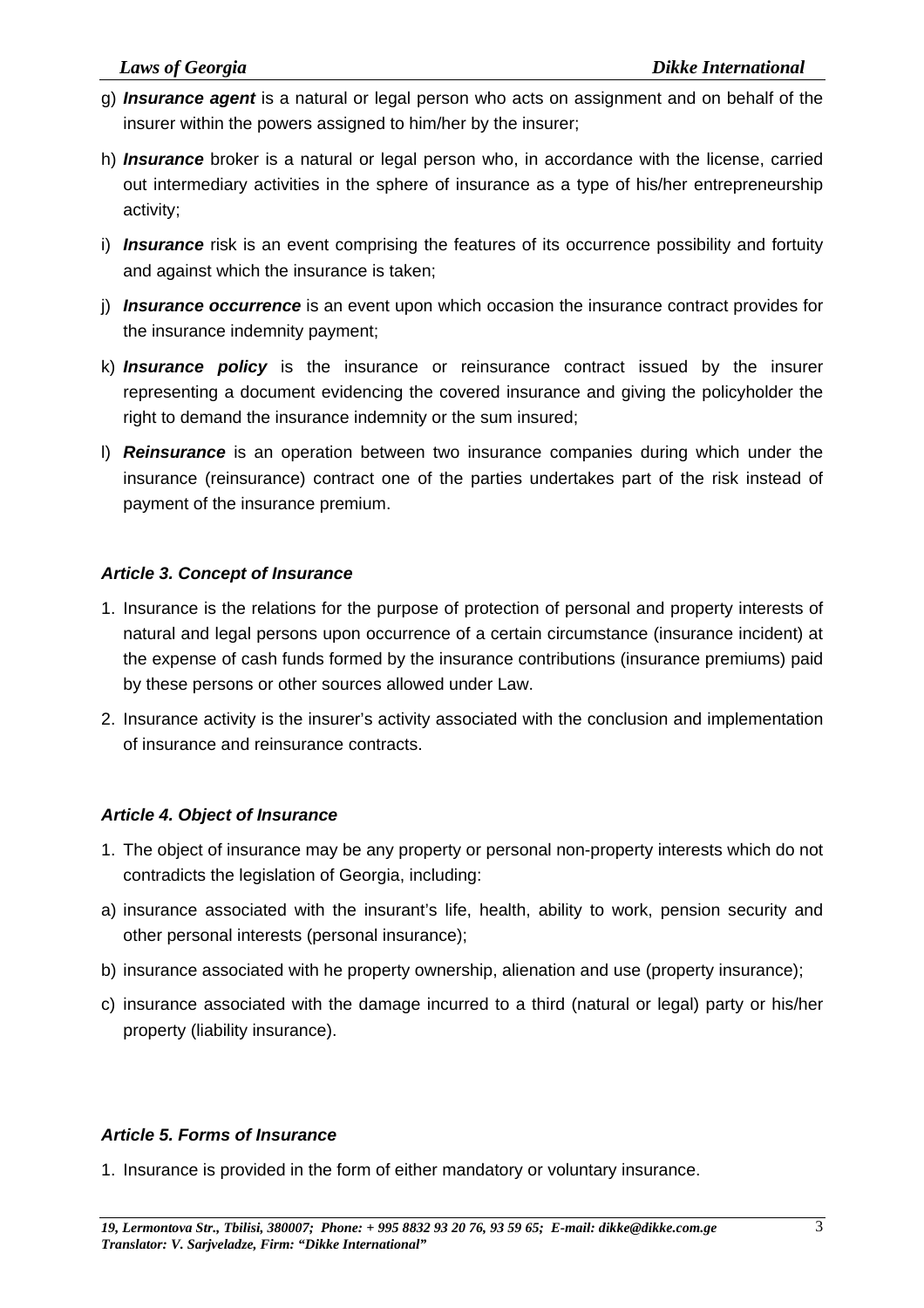- g) *Insurance agent* is a natural or legal person who acts on assignment and on behalf of the insurer within the powers assigned to him/her by the insurer;
- h) *Insurance* broker is a natural or legal person who, in accordance with the license, carried out intermediary activities in the sphere of insurance as a type of his/her entrepreneurship activity;
- i) *Insurance* risk is an event comprising the features of its occurrence possibility and fortuity and against which the insurance is taken;
- j) *Insurance occurrence* is an event upon which occasion the insurance contract provides for the insurance indemnity payment;
- k) *Insurance policy* is the insurance or reinsurance contract issued by the insurer representing a document evidencing the covered insurance and giving the policyholder the right to demand the insurance indemnity or the sum insured;
- l) *Reinsurance* is an operation between two insurance companies during which under the insurance (reinsurance) contract one of the parties undertakes part of the risk instead of payment of the insurance premium.

#### *Article 3. Concept of Insurance*

- 1. Insurance is the relations for the purpose of protection of personal and property interests of natural and legal persons upon occurrence of a certain circumstance (insurance incident) at the expense of cash funds formed by the insurance contributions (insurance premiums) paid by these persons or other sources allowed under Law.
- 2. Insurance activity is the insurer's activity associated with the conclusion and implementation of insurance and reinsurance contracts.

#### *Article 4. Object of Insurance*

- 1. The object of insurance may be any property or personal non-property interests which do not contradicts the legislation of Georgia, including:
- a) insurance associated with the insurant's life, health, ability to work, pension security and other personal interests (personal insurance);
- b) insurance associated with he property ownership, alienation and use (property insurance);
- c) insurance associated with the damage incurred to a third (natural or legal) party or his/her property (liability insurance).

### *Article 5. Forms of Insurance*

1. Insurance is provided in the form of either mandatory or voluntary insurance.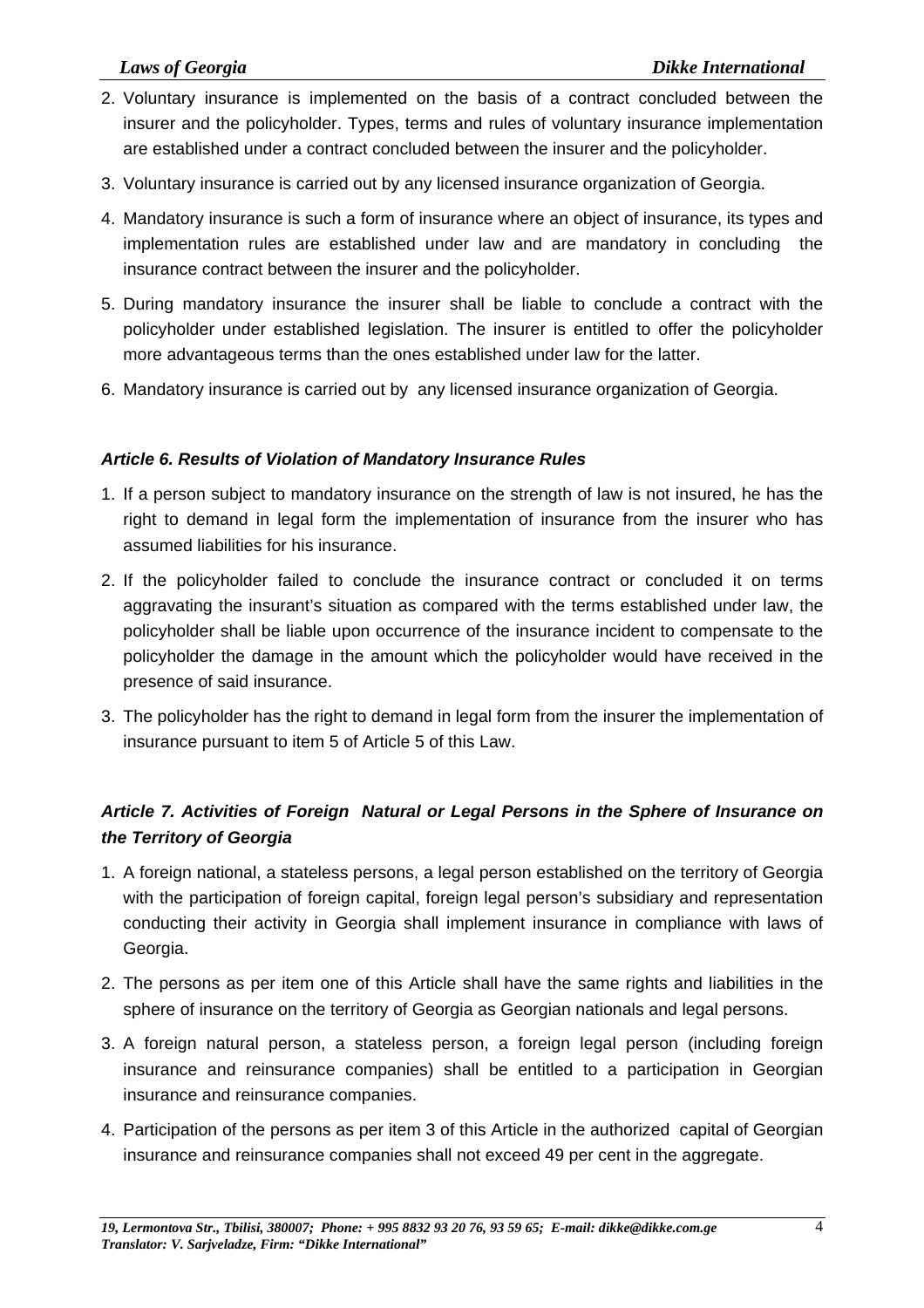- 2. Voluntary insurance is implemented on the basis of a contract concluded between the insurer and the policyholder. Types, terms and rules of voluntary insurance implementation are established under a contract concluded between the insurer and the policyholder.
- 3. Voluntary insurance is carried out by any licensed insurance organization of Georgia.
- 4. Mandatory insurance is such a form of insurance where an object of insurance, its types and implementation rules are established under law and are mandatory in concluding the insurance contract between the insurer and the policyholder.
- 5. During mandatory insurance the insurer shall be liable to conclude a contract with the policyholder under established legislation. The insurer is entitled to offer the policyholder more advantageous terms than the ones established under law for the latter.
- 6. Mandatory insurance is carried out by any licensed insurance organization of Georgia.

#### *Article 6. Results of Violation of Mandatory Insurance Rules*

- 1. If a person subject to mandatory insurance on the strength of law is not insured, he has the right to demand in legal form the implementation of insurance from the insurer who has assumed liabilities for his insurance.
- 2. If the policyholder failed to conclude the insurance contract or concluded it on terms aggravating the insurant's situation as compared with the terms established under law, the policyholder shall be liable upon occurrence of the insurance incident to compensate to the policyholder the damage in the amount which the policyholder would have received in the presence of said insurance.
- 3. The policyholder has the right to demand in legal form from the insurer the implementation of insurance pursuant to item 5 of Article 5 of this Law.

### *Article 7. Activities of Foreign Natural or Legal Persons in the Sphere of Insurance on the Territory of Georgia*

- 1. A foreign national, a stateless persons, a legal person established on the territory of Georgia with the participation of foreign capital, foreign legal person's subsidiary and representation conducting their activity in Georgia shall implement insurance in compliance with laws of Georgia.
- 2. The persons as per item one of this Article shall have the same rights and liabilities in the sphere of insurance on the territory of Georgia as Georgian nationals and legal persons.
- 3. A foreign natural person, a stateless person, a foreign legal person (including foreign insurance and reinsurance companies) shall be entitled to a participation in Georgian insurance and reinsurance companies.
- 4. Participation of the persons as per item 3 of this Article in the authorized capital of Georgian insurance and reinsurance companies shall not exceed 49 per cent in the aggregate.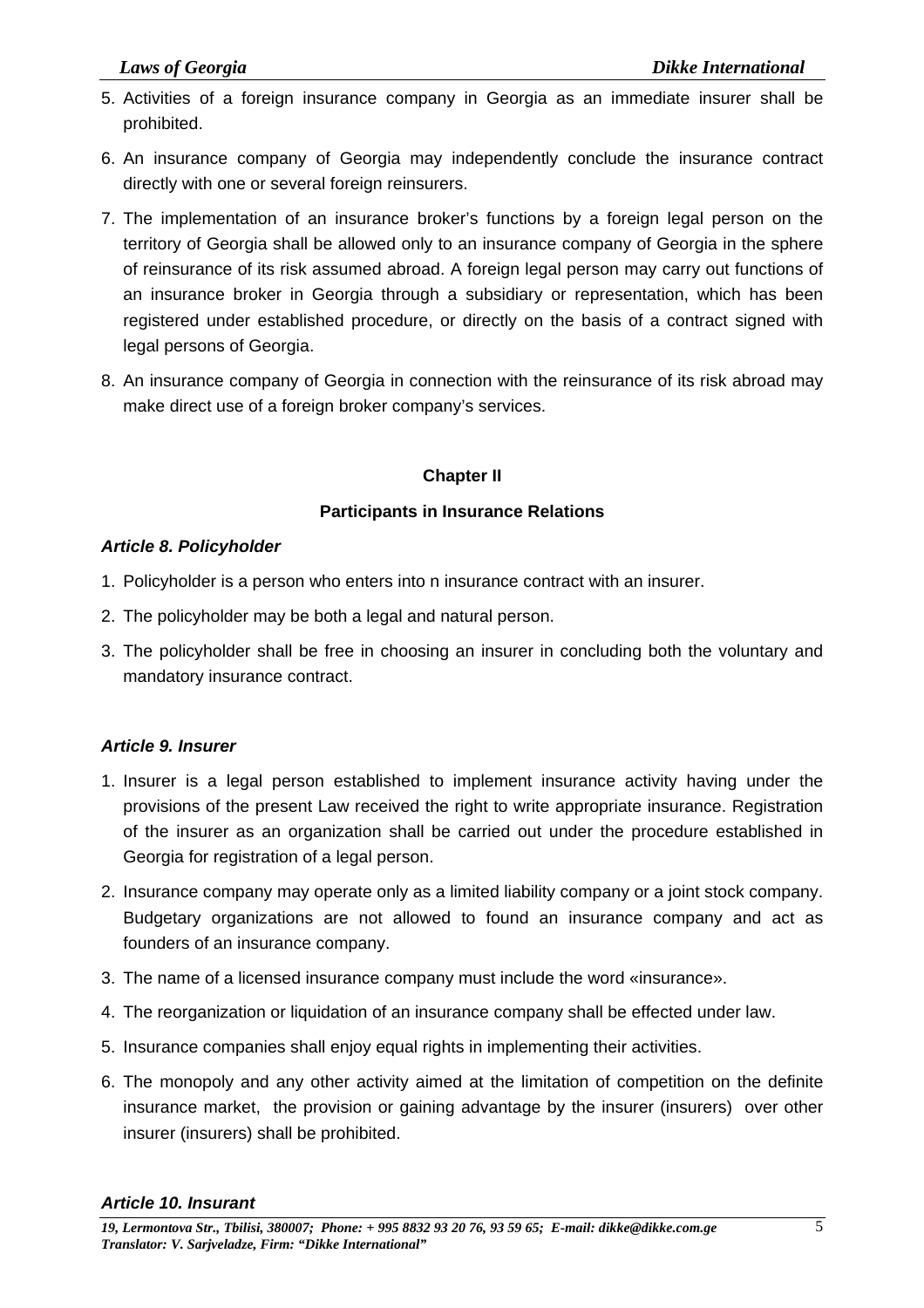- 5. Activities of a foreign insurance company in Georgia as an immediate insurer shall be prohibited.
- 6. An insurance company of Georgia may independently conclude the insurance contract directly with one or several foreign reinsurers.
- 7. The implementation of an insurance broker's functions by a foreign legal person on the territory of Georgia shall be allowed only to an insurance company of Georgia in the sphere of reinsurance of its risk assumed abroad. A foreign legal person may carry out functions of an insurance broker in Georgia through a subsidiary or representation, which has been registered under established procedure, or directly on the basis of a contract signed with legal persons of Georgia.
- 8. An insurance company of Georgia in connection with the reinsurance of its risk abroad may make direct use of a foreign broker company's services.

#### **Chapter II**

#### **Participants in Insurance Relations**

#### *Article 8. Policyholder*

- 1. Policyholder is a person who enters into n insurance contract with an insurer.
- 2. The policyholder may be both a legal and natural person.
- 3. The policyholder shall be free in choosing an insurer in concluding both the voluntary and mandatory insurance contract.

#### *Article 9. Insurer*

- 1. Insurer is a legal person established to implement insurance activity having under the provisions of the present Law received the right to write appropriate insurance. Registration of the insurer as an organization shall be carried out under the procedure established in Georgia for registration of a legal person.
- 2. Insurance company may operate only as a limited liability company or a joint stock company. Budgetary organizations are not allowed to found an insurance company and act as founders of an insurance company.
- 3. The name of a licensed insurance company must include the word «insurance».
- 4. The reorganization or liquidation of an insurance company shall be effected under law.
- 5. Insurance companies shall enjoy equal rights in implementing their activities.
- 6. The monopoly and any other activity aimed at the limitation of competition on the definite insurance market, the provision or gaining advantage by the insurer (insurers) over other insurer (insurers) shall be prohibited.

#### *Article 10. Insurant*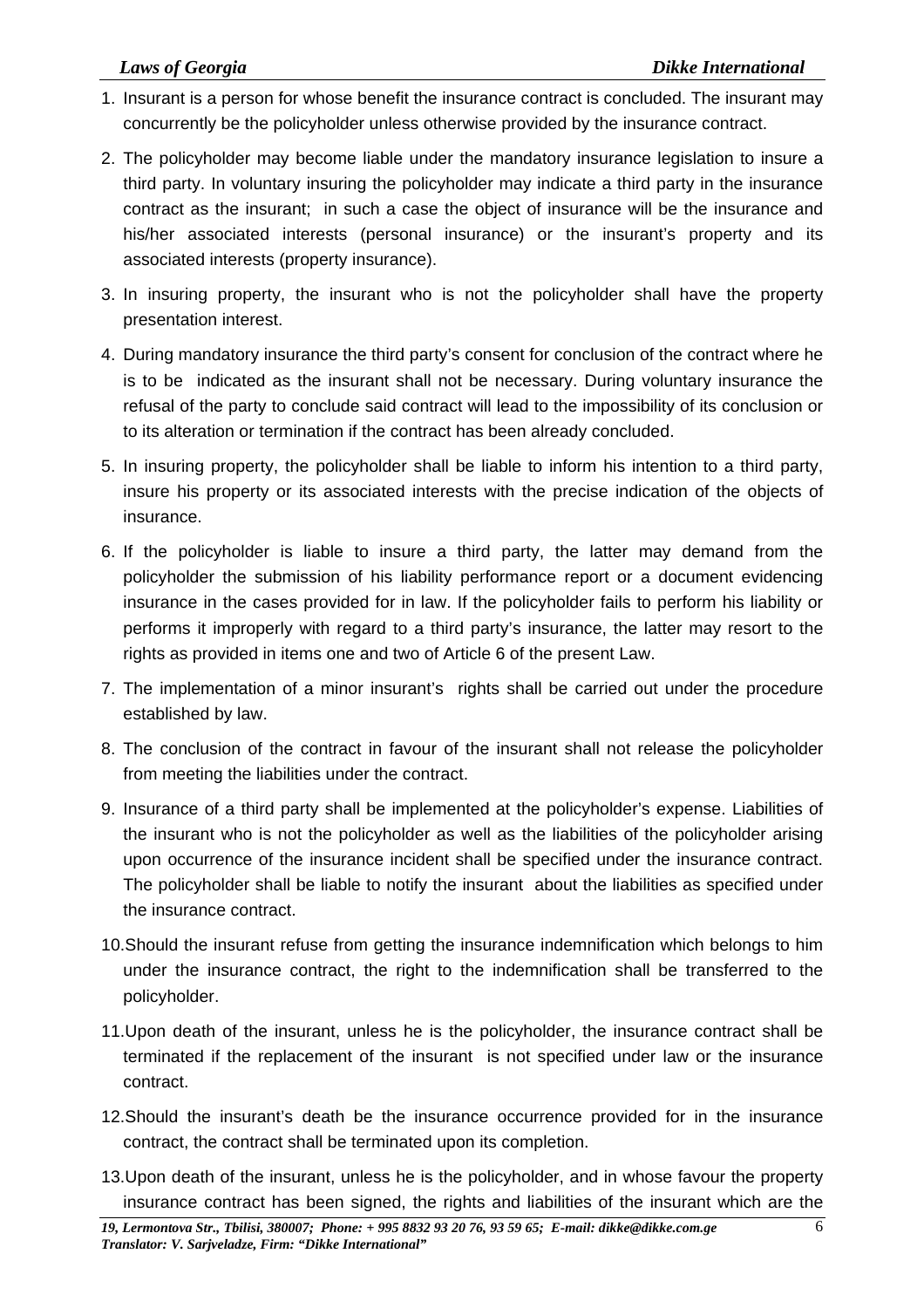- 1. Insurant is a person for whose benefit the insurance contract is concluded. The insurant may concurrently be the policyholder unless otherwise provided by the insurance contract.
- 2. The policyholder may become liable under the mandatory insurance legislation to insure a third party. In voluntary insuring the policyholder may indicate a third party in the insurance contract as the insurant; in such a case the object of insurance will be the insurance and his/her associated interests (personal insurance) or the insurant's property and its associated interests (property insurance).
- 3. In insuring property, the insurant who is not the policyholder shall have the property presentation interest.
- 4. During mandatory insurance the third party's consent for conclusion of the contract where he is to be indicated as the insurant shall not be necessary. During voluntary insurance the refusal of the party to conclude said contract will lead to the impossibility of its conclusion or to its alteration or termination if the contract has been already concluded.
- 5. In insuring property, the policyholder shall be liable to inform his intention to a third party, insure his property or its associated interests with the precise indication of the objects of insurance.
- 6. If the policyholder is liable to insure a third party, the latter may demand from the policyholder the submission of his liability performance report or a document evidencing insurance in the cases provided for in law. If the policyholder fails to perform his liability or performs it improperly with regard to a third party's insurance, the latter may resort to the rights as provided in items one and two of Article 6 of the present Law.
- 7. The implementation of a minor insurant's rights shall be carried out under the procedure established by law.
- 8. The conclusion of the contract in favour of the insurant shall not release the policyholder from meeting the liabilities under the contract.
- 9. Insurance of a third party shall be implemented at the policyholder's expense. Liabilities of the insurant who is not the policyholder as well as the liabilities of the policyholder arising upon occurrence of the insurance incident shall be specified under the insurance contract. The policyholder shall be liable to notify the insurant about the liabilities as specified under the insurance contract.
- 10.Should the insurant refuse from getting the insurance indemnification which belongs to him under the insurance contract, the right to the indemnification shall be transferred to the policyholder.
- 11.Upon death of the insurant, unless he is the policyholder, the insurance contract shall be terminated if the replacement of the insurant is not specified under law or the insurance contract.
- 12.Should the insurant's death be the insurance occurrence provided for in the insurance contract, the contract shall be terminated upon its completion.
- 13.Upon death of the insurant, unless he is the policyholder, and in whose favour the property insurance contract has been signed, the rights and liabilities of the insurant which are the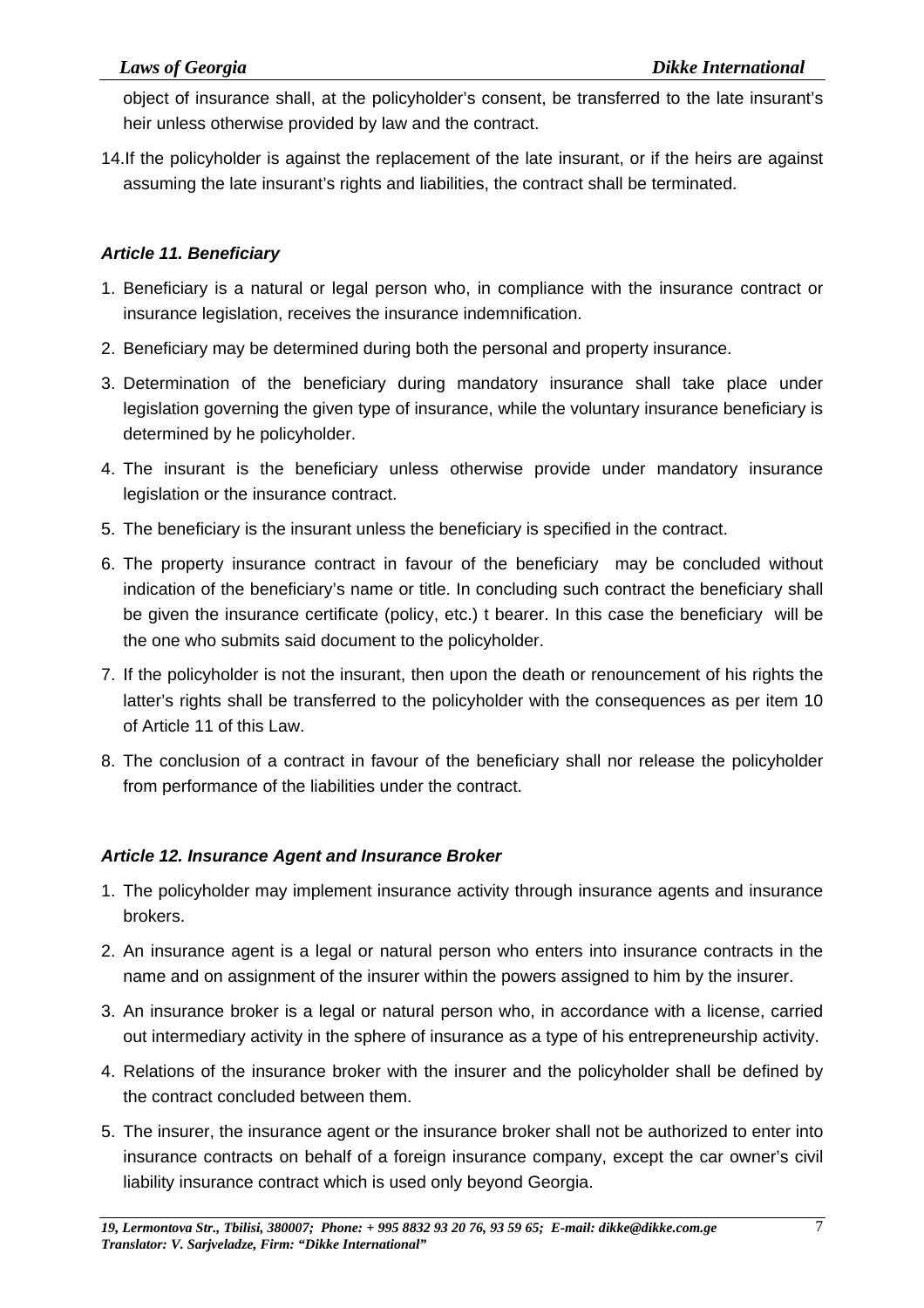object of insurance shall, at the policyholder's consent, be transferred to the late insurant's heir unless otherwise provided by law and the contract.

14.If the policyholder is against the replacement of the late insurant, or if the heirs are against assuming the late insurant's rights and liabilities, the contract shall be terminated.

#### *Article 11. Beneficiary*

- 1. Beneficiary is a natural or legal person who, in compliance with the insurance contract or insurance legislation, receives the insurance indemnification.
- 2. Beneficiary may be determined during both the personal and property insurance.
- 3. Determination of the beneficiary during mandatory insurance shall take place under legislation governing the given type of insurance, while the voluntary insurance beneficiary is determined by he policyholder.
- 4. The insurant is the beneficiary unless otherwise provide under mandatory insurance legislation or the insurance contract.
- 5. The beneficiary is the insurant unless the beneficiary is specified in the contract.
- 6. The property insurance contract in favour of the beneficiary may be concluded without indication of the beneficiary's name or title. In concluding such contract the beneficiary shall be given the insurance certificate (policy, etc.) t bearer. In this case the beneficiary will be the one who submits said document to the policyholder.
- 7. If the policyholder is not the insurant, then upon the death or renouncement of his rights the latter's rights shall be transferred to the policyholder with the consequences as per item 10 of Article 11 of this Law.
- 8. The conclusion of a contract in favour of the beneficiary shall nor release the policyholder from performance of the liabilities under the contract.

### *Article 12. Insurance Agent and Insurance Broker*

- 1. The policyholder may implement insurance activity through insurance agents and insurance brokers.
- 2. An insurance agent is a legal or natural person who enters into insurance contracts in the name and on assignment of the insurer within the powers assigned to him by the insurer.
- 3. An insurance broker is a legal or natural person who, in accordance with a license, carried out intermediary activity in the sphere of insurance as a type of his entrepreneurship activity.
- 4. Relations of the insurance broker with the insurer and the policyholder shall be defined by the contract concluded between them.
- 5. The insurer, the insurance agent or the insurance broker shall not be authorized to enter into insurance contracts on behalf of a foreign insurance company, except the car owner's civil liability insurance contract which is used only beyond Georgia.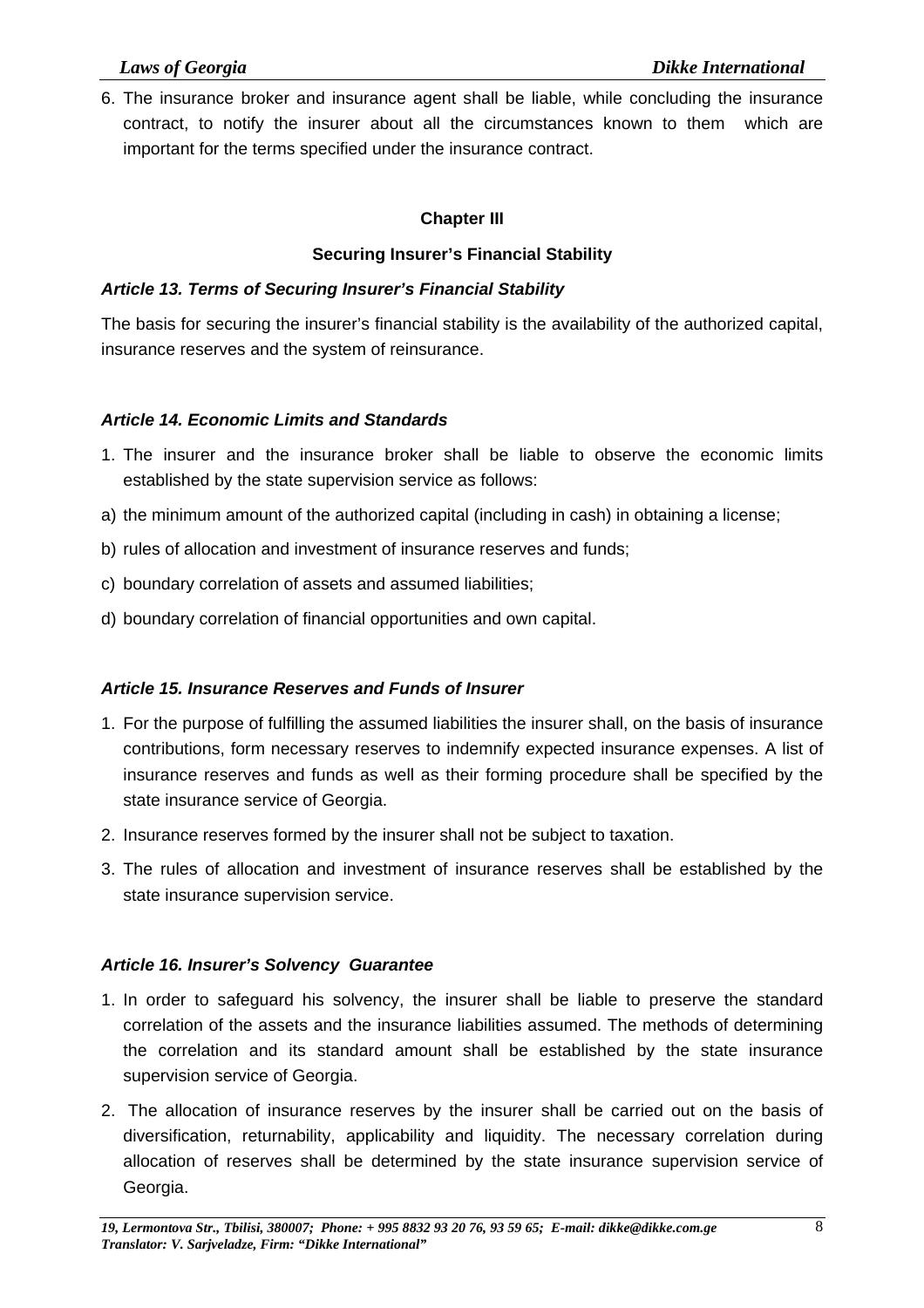6. The insurance broker and insurance agent shall be liable, while concluding the insurance contract, to notify the insurer about all the circumstances known to them which are important for the terms specified under the insurance contract.

#### **Chapter III**

#### **Securing Insurer's Financial Stability**

#### *Article 13. Terms of Securing Insurer's Financial Stability*

The basis for securing the insurer's financial stability is the availability of the authorized capital, insurance reserves and the system of reinsurance.

#### *Article 14. Economic Limits and Standards*

- 1. The insurer and the insurance broker shall be liable to observe the economic limits established by the state supervision service as follows:
- a) the minimum amount of the authorized capital (including in cash) in obtaining a license;
- b) rules of allocation and investment of insurance reserves and funds;
- c) boundary correlation of assets and assumed liabilities;
- d) boundary correlation of financial opportunities and own capital.

#### *Article 15. Insurance Reserves and Funds of Insurer*

- 1. For the purpose of fulfilling the assumed liabilities the insurer shall, on the basis of insurance contributions, form necessary reserves to indemnify expected insurance expenses. A list of insurance reserves and funds as well as their forming procedure shall be specified by the state insurance service of Georgia.
- 2. Insurance reserves formed by the insurer shall not be subject to taxation.
- 3. The rules of allocation and investment of insurance reserves shall be established by the state insurance supervision service.

#### *Article 16. Insurer's Solvency Guarantee*

- 1. In order to safeguard his solvency, the insurer shall be liable to preserve the standard correlation of the assets and the insurance liabilities assumed. The methods of determining the correlation and its standard amount shall be established by the state insurance supervision service of Georgia.
- 2. The allocation of insurance reserves by the insurer shall be carried out on the basis of diversification, returnability, applicability and liquidity. The necessary correlation during allocation of reserves shall be determined by the state insurance supervision service of Georgia.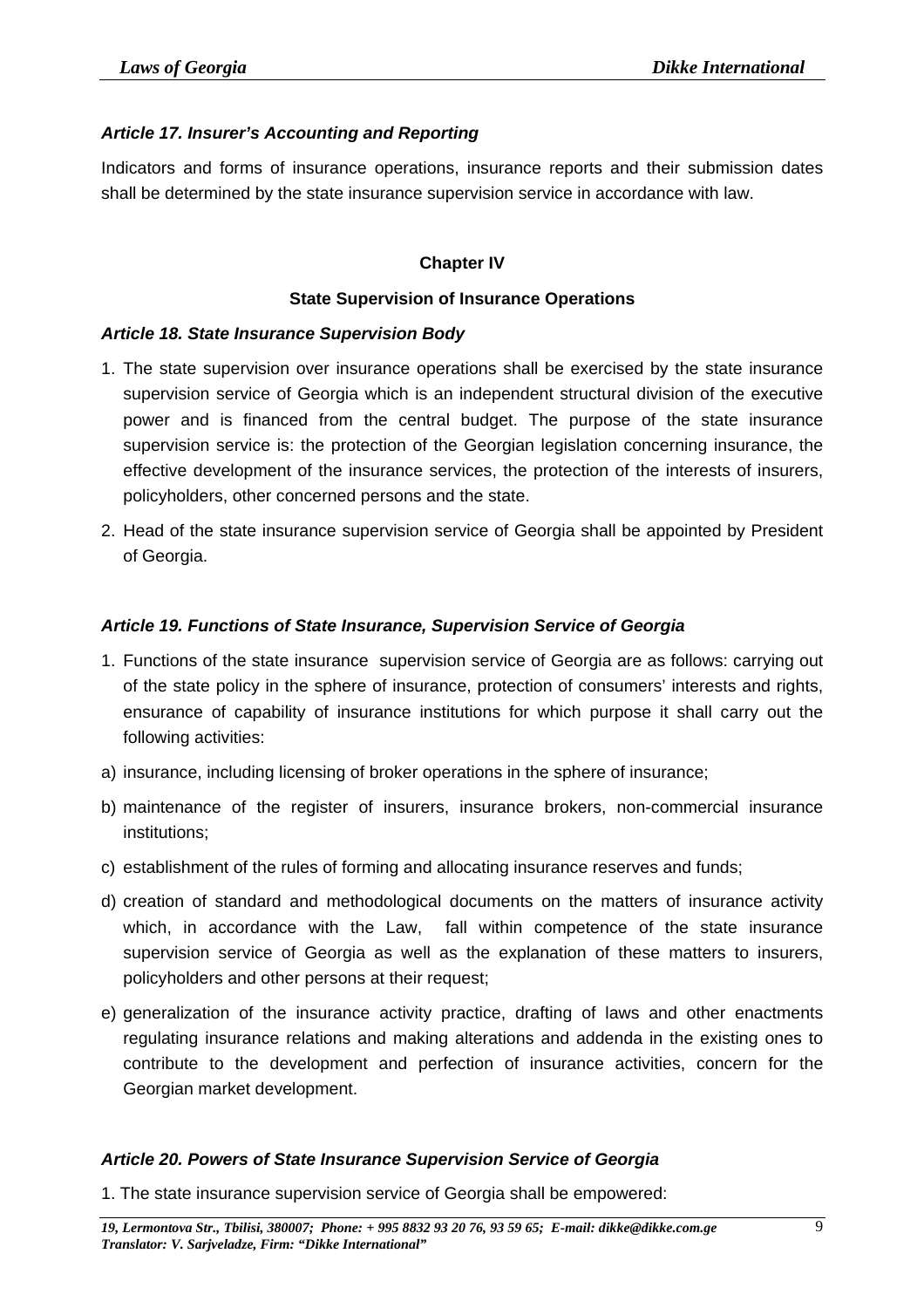#### *Article 17. Insurer's Accounting and Reporting*

Indicators and forms of insurance operations, insurance reports and their submission dates shall be determined by the state insurance supervision service in accordance with law.

#### **Chapter IV**

#### **State Supervision of Insurance Operations**

#### *Article 18. State Insurance Supervision Body*

- 1. The state supervision over insurance operations shall be exercised by the state insurance supervision service of Georgia which is an independent structural division of the executive power and is financed from the central budget. The purpose of the state insurance supervision service is: the protection of the Georgian legislation concerning insurance, the effective development of the insurance services, the protection of the interests of insurers, policyholders, other concerned persons and the state.
- 2. Head of the state insurance supervision service of Georgia shall be appointed by President of Georgia.

#### *Article 19. Functions of State Insurance, Supervision Service of Georgia*

- 1. Functions of the state insurance supervision service of Georgia are as follows: carrying out of the state policy in the sphere of insurance, protection of consumers' interests and rights, ensurance of capability of insurance institutions for which purpose it shall carry out the following activities:
- a) insurance, including licensing of broker operations in the sphere of insurance;
- b) maintenance of the register of insurers, insurance brokers, non-commercial insurance institutions;
- c) establishment of the rules of forming and allocating insurance reserves and funds;
- d) creation of standard and methodological documents on the matters of insurance activity which, in accordance with the Law, fall within competence of the state insurance supervision service of Georgia as well as the explanation of these matters to insurers, policyholders and other persons at their request;
- e) generalization of the insurance activity practice, drafting of laws and other enactments regulating insurance relations and making alterations and addenda in the existing ones to contribute to the development and perfection of insurance activities, concern for the Georgian market development.

#### *Article 20. Powers of State Insurance Supervision Service of Georgia*

1. The state insurance supervision service of Georgia shall be empowered: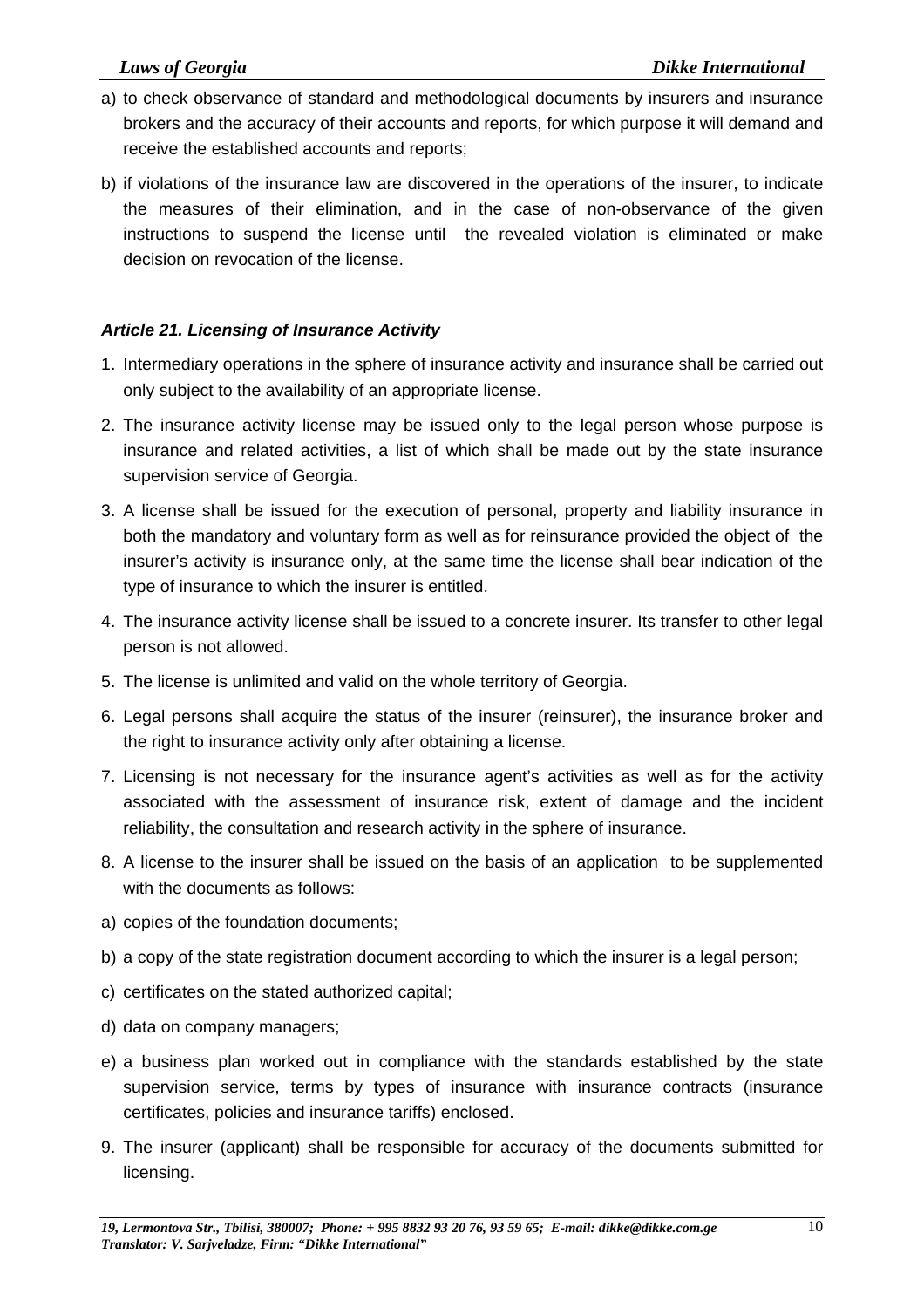- a) to check observance of standard and methodological documents by insurers and insurance brokers and the accuracy of their accounts and reports, for which purpose it will demand and receive the established accounts and reports;
- b) if violations of the insurance law are discovered in the operations of the insurer, to indicate the measures of their elimination, and in the case of non-observance of the given instructions to suspend the license until the revealed violation is eliminated or make decision on revocation of the license.

#### *Article 21. Licensing of Insurance Activity*

- 1. Intermediary operations in the sphere of insurance activity and insurance shall be carried out only subject to the availability of an appropriate license.
- 2. The insurance activity license may be issued only to the legal person whose purpose is insurance and related activities, a list of which shall be made out by the state insurance supervision service of Georgia.
- 3. A license shall be issued for the execution of personal, property and liability insurance in both the mandatory and voluntary form as well as for reinsurance provided the object of the insurer's activity is insurance only, at the same time the license shall bear indication of the type of insurance to which the insurer is entitled.
- 4. The insurance activity license shall be issued to a concrete insurer. Its transfer to other legal person is not allowed.
- 5. The license is unlimited and valid on the whole territory of Georgia.
- 6. Legal persons shall acquire the status of the insurer (reinsurer), the insurance broker and the right to insurance activity only after obtaining a license.
- 7. Licensing is not necessary for the insurance agent's activities as well as for the activity associated with the assessment of insurance risk, extent of damage and the incident reliability, the consultation and research activity in the sphere of insurance.
- 8. A license to the insurer shall be issued on the basis of an application to be supplemented with the documents as follows:
- a) copies of the foundation documents;
- b) a copy of the state registration document according to which the insurer is a legal person;
- c) certificates on the stated authorized capital;
- d) data on company managers;
- e) a business plan worked out in compliance with the standards established by the state supervision service, terms by types of insurance with insurance contracts (insurance certificates, policies and insurance tariffs) enclosed.
- 9. The insurer (applicant) shall be responsible for accuracy of the documents submitted for licensing.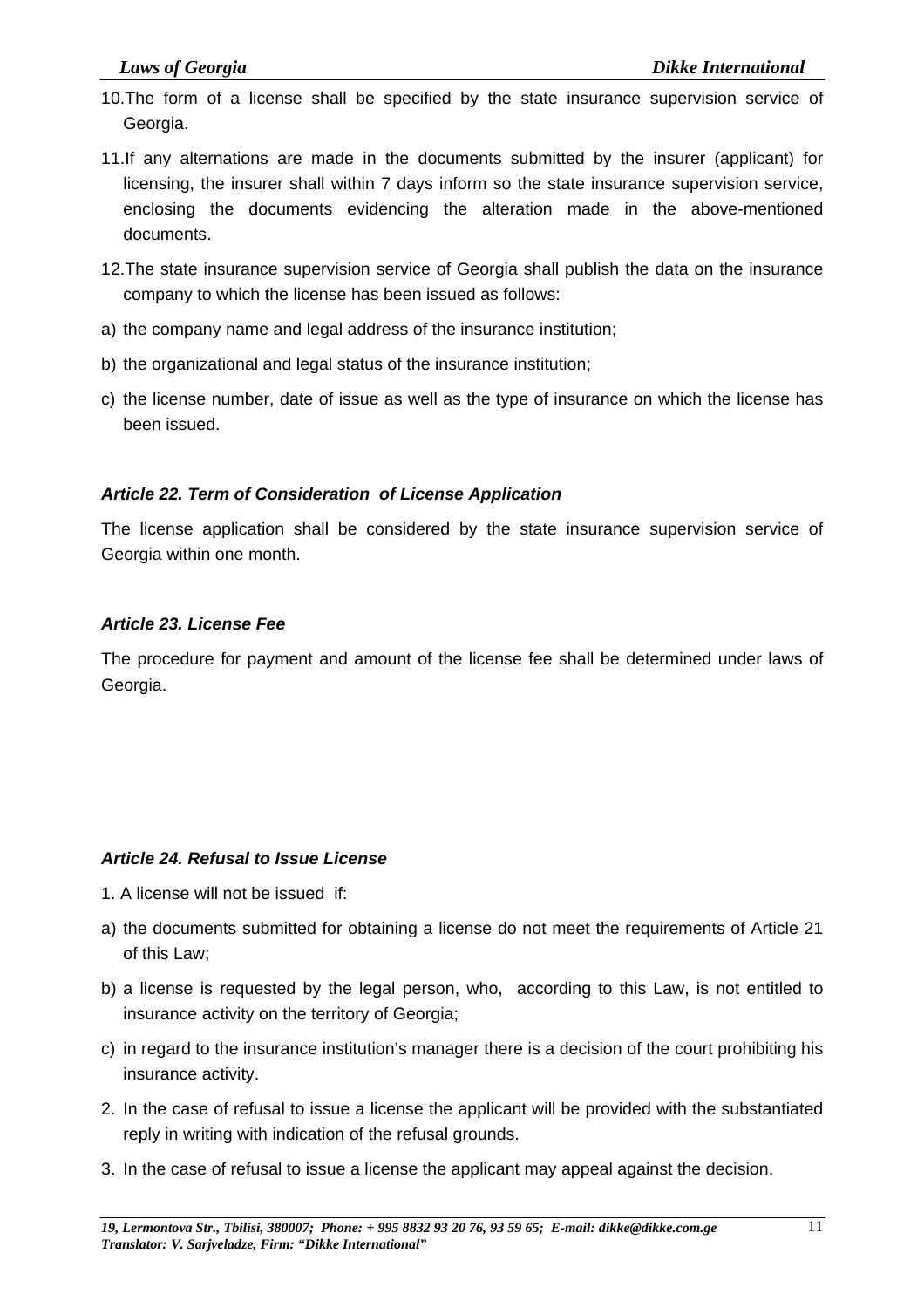- 10.The form of a license shall be specified by the state insurance supervision service of Georgia.
- 11.If any alternations are made in the documents submitted by the insurer (applicant) for licensing, the insurer shall within 7 days inform so the state insurance supervision service, enclosing the documents evidencing the alteration made in the above-mentioned documents.
- 12.The state insurance supervision service of Georgia shall publish the data on the insurance company to which the license has been issued as follows:
- a) the company name and legal address of the insurance institution;
- b) the organizational and legal status of the insurance institution;
- c) the license number, date of issue as well as the type of insurance on which the license has been issued.

#### *Article 22. Term of Consideration of License Application*

The license application shall be considered by the state insurance supervision service of Georgia within one month.

#### *Article 23. License Fee*

The procedure for payment and amount of the license fee shall be determined under laws of Georgia.

#### *Article 24. Refusal to Issue License*

- 1. A license will not be issued if:
- a) the documents submitted for obtaining a license do not meet the requirements of Article 21 of this Law;
- b) a license is requested by the legal person, who, according to this Law, is not entitled to insurance activity on the territory of Georgia;
- c) in regard to the insurance institution's manager there is a decision of the court prohibiting his insurance activity.
- 2. In the case of refusal to issue a license the applicant will be provided with the substantiated reply in writing with indication of the refusal grounds.
- 3. In the case of refusal to issue a license the applicant may appeal against the decision.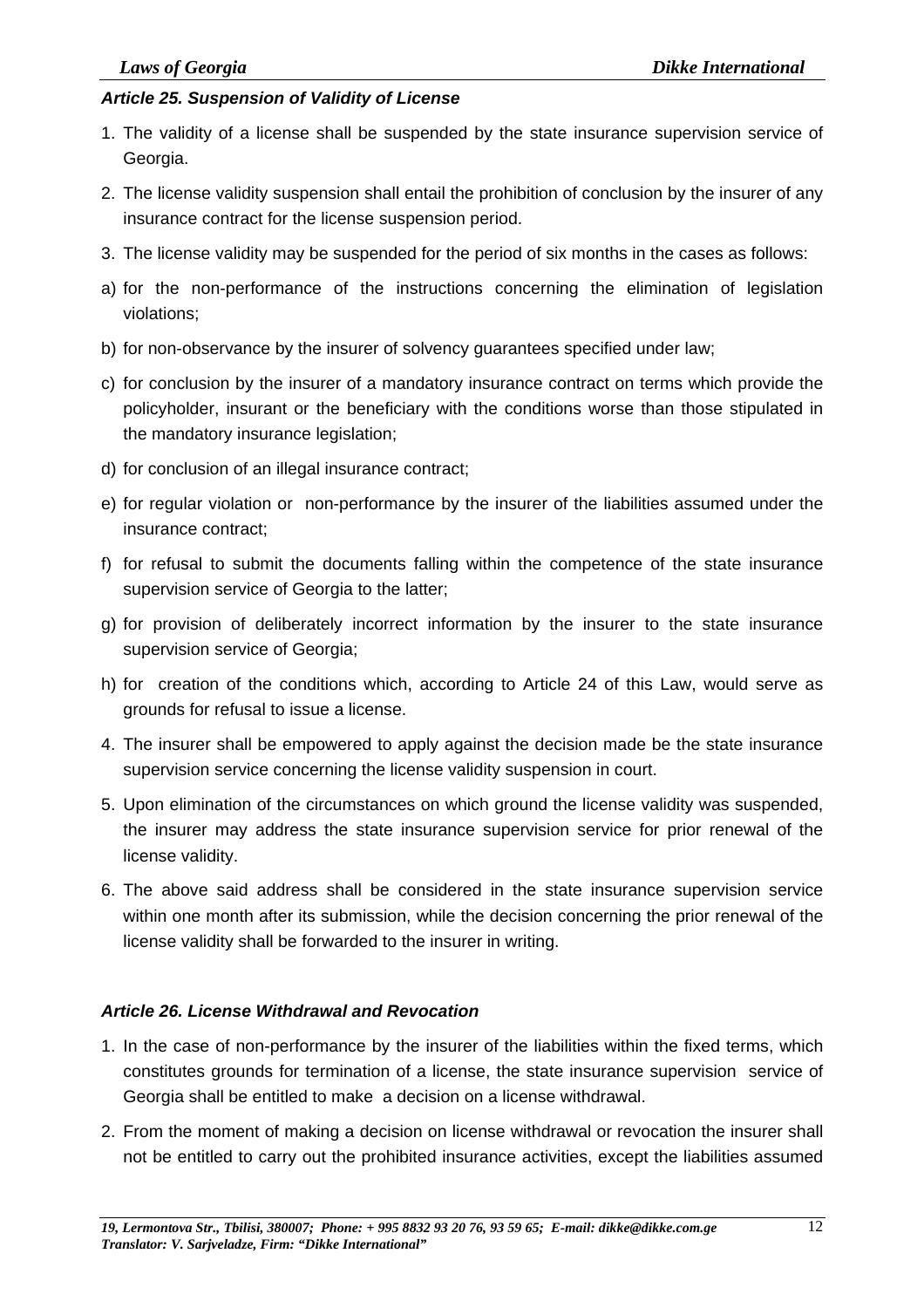#### *Article 25. Suspension of Validity of License*

- 1. The validity of a license shall be suspended by the state insurance supervision service of Georgia.
- 2. The license validity suspension shall entail the prohibition of conclusion by the insurer of any insurance contract for the license suspension period.
- 3. The license validity may be suspended for the period of six months in the cases as follows:
- a) for the non-performance of the instructions concerning the elimination of legislation violations;
- b) for non-observance by the insurer of solvency guarantees specified under law;
- c) for conclusion by the insurer of a mandatory insurance contract on terms which provide the policyholder, insurant or the beneficiary with the conditions worse than those stipulated in the mandatory insurance legislation;
- d) for conclusion of an illegal insurance contract;
- e) for regular violation or non-performance by the insurer of the liabilities assumed under the insurance contract;
- f) for refusal to submit the documents falling within the competence of the state insurance supervision service of Georgia to the latter;
- g) for provision of deliberately incorrect information by the insurer to the state insurance supervision service of Georgia;
- h) for creation of the conditions which, according to Article 24 of this Law, would serve as grounds for refusal to issue a license.
- 4. The insurer shall be empowered to apply against the decision made be the state insurance supervision service concerning the license validity suspension in court.
- 5. Upon elimination of the circumstances on which ground the license validity was suspended, the insurer may address the state insurance supervision service for prior renewal of the license validity.
- 6. The above said address shall be considered in the state insurance supervision service within one month after its submission, while the decision concerning the prior renewal of the license validity shall be forwarded to the insurer in writing.

#### *Article 26. License Withdrawal and Revocation*

- 1. In the case of non-performance by the insurer of the liabilities within the fixed terms, which constitutes grounds for termination of a license, the state insurance supervision service of Georgia shall be entitled to make a decision on a license withdrawal.
- 2. From the moment of making a decision on license withdrawal or revocation the insurer shall not be entitled to carry out the prohibited insurance activities, except the liabilities assumed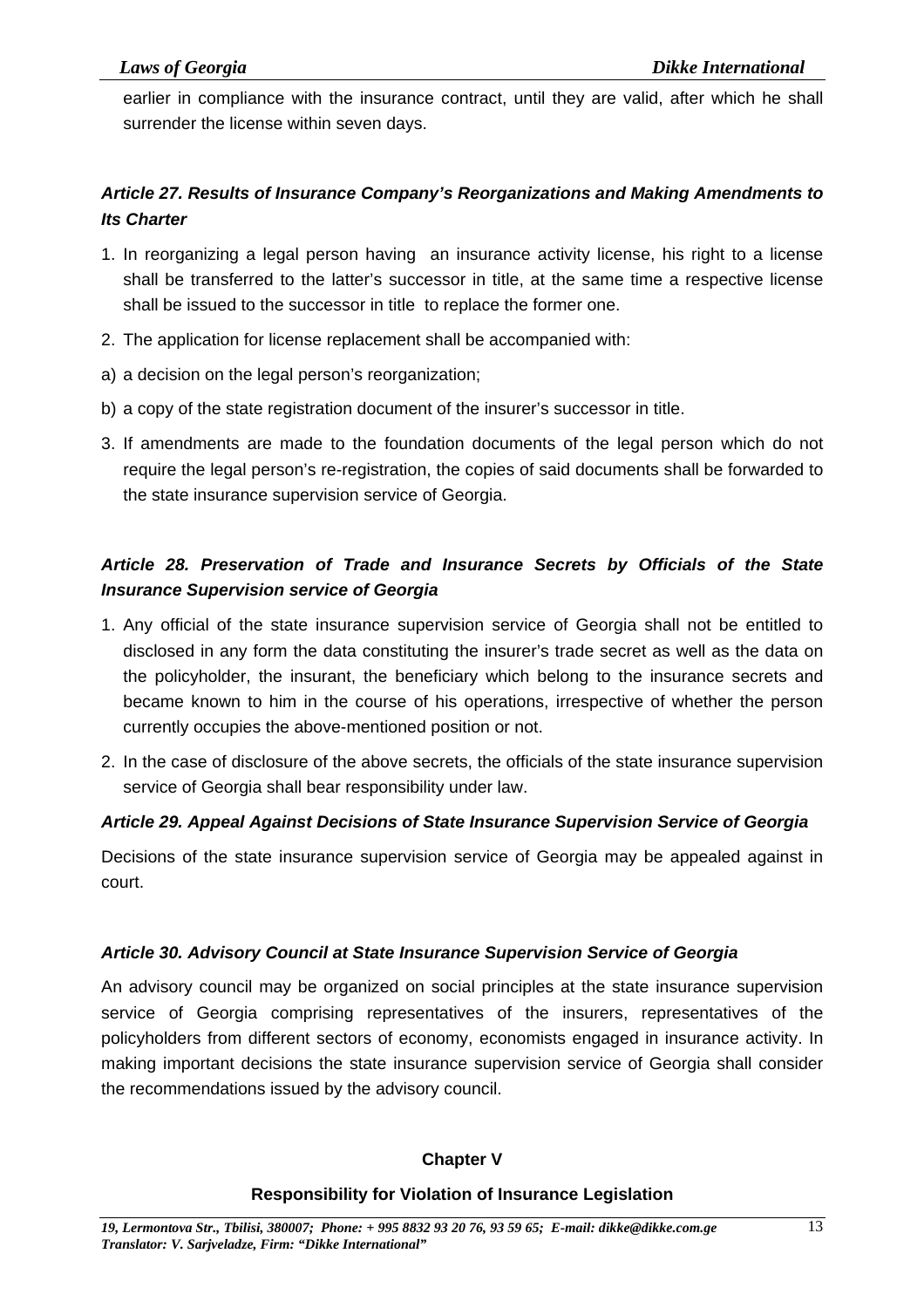earlier in compliance with the insurance contract, until they are valid, after which he shall surrender the license within seven days.

### *Article 27. Results of Insurance Company's Reorganizations and Making Amendments to Its Charter*

- 1. In reorganizing a legal person having an insurance activity license, his right to a license shall be transferred to the latter's successor in title, at the same time a respective license shall be issued to the successor in title to replace the former one.
- 2. The application for license replacement shall be accompanied with:
- a) a decision on the legal person's reorganization:
- b) a copy of the state registration document of the insurer's successor in title.
- 3. If amendments are made to the foundation documents of the legal person which do not require the legal person's re-registration, the copies of said documents shall be forwarded to the state insurance supervision service of Georgia.

### *Article 28. Preservation of Trade and Insurance Secrets by Officials of the State Insurance Supervision service of Georgia*

- 1. Any official of the state insurance supervision service of Georgia shall not be entitled to disclosed in any form the data constituting the insurer's trade secret as well as the data on the policyholder, the insurant, the beneficiary which belong to the insurance secrets and became known to him in the course of his operations, irrespective of whether the person currently occupies the above-mentioned position or not.
- 2. In the case of disclosure of the above secrets, the officials of the state insurance supervision service of Georgia shall bear responsibility under law.

### *Article 29. Appeal Against Decisions of State Insurance Supervision Service of Georgia*

Decisions of the state insurance supervision service of Georgia may be appealed against in court.

#### *Article 30. Advisory Council at State Insurance Supervision Service of Georgia*

An advisory council may be organized on social principles at the state insurance supervision service of Georgia comprising representatives of the insurers, representatives of the policyholders from different sectors of economy, economists engaged in insurance activity. In making important decisions the state insurance supervision service of Georgia shall consider the recommendations issued by the advisory council.

#### **Chapter V**

#### **Responsibility for Violation of Insurance Legislation**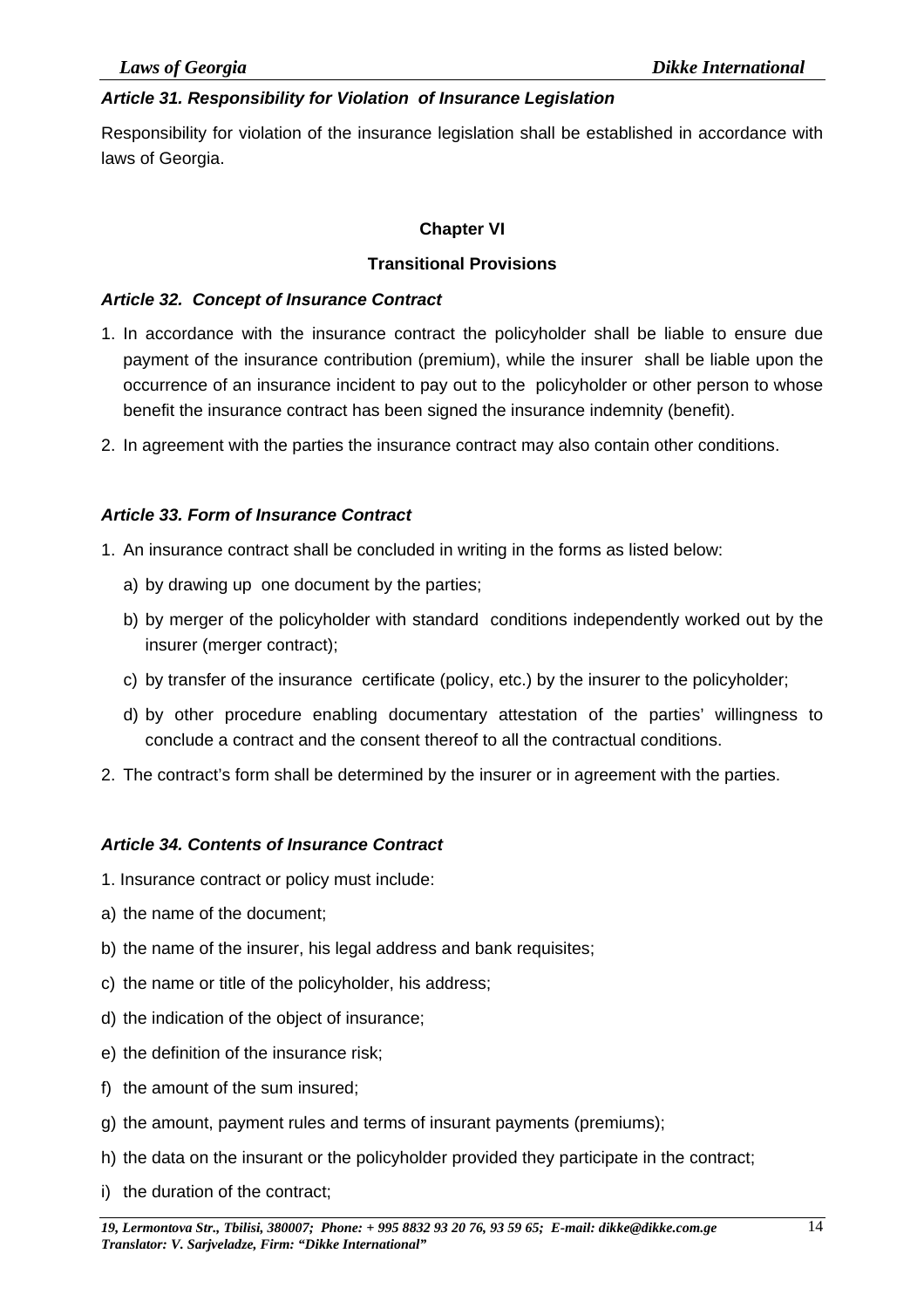#### *Article 31. Responsibility for Violation of Insurance Legislation*

Responsibility for violation of the insurance legislation shall be established in accordance with laws of Georgia.

#### **Chapter VI**

#### **Transitional Provisions**

#### *Article 32. Concept of Insurance Contract*

- 1. In accordance with the insurance contract the policyholder shall be liable to ensure due payment of the insurance contribution (premium), while the insurer shall be liable upon the occurrence of an insurance incident to pay out to the policyholder or other person to whose benefit the insurance contract has been signed the insurance indemnity (benefit).
- 2. In agreement with the parties the insurance contract may also contain other conditions.

#### *Article 33. Form of Insurance Contract*

- 1. An insurance contract shall be concluded in writing in the forms as listed below:
	- a) by drawing up one document by the parties;
	- b) by merger of the policyholder with standard conditions independently worked out by the insurer (merger contract);
	- c) by transfer of the insurance certificate (policy, etc.) by the insurer to the policyholder;
	- d) by other procedure enabling documentary attestation of the parties' willingness to conclude a contract and the consent thereof to all the contractual conditions.
- 2. The contract's form shall be determined by the insurer or in agreement with the parties.

#### *Article 34. Contents of Insurance Contract*

- 1. Insurance contract or policy must include:
- a) the name of the document;
- b) the name of the insurer, his legal address and bank requisites;
- c) the name or title of the policyholder, his address;
- d) the indication of the object of insurance;
- e) the definition of the insurance risk;
- f) the amount of the sum insured;
- g) the amount, payment rules and terms of insurant payments (premiums);
- h) the data on the insurant or the policyholder provided they participate in the contract;
- i) the duration of the contract;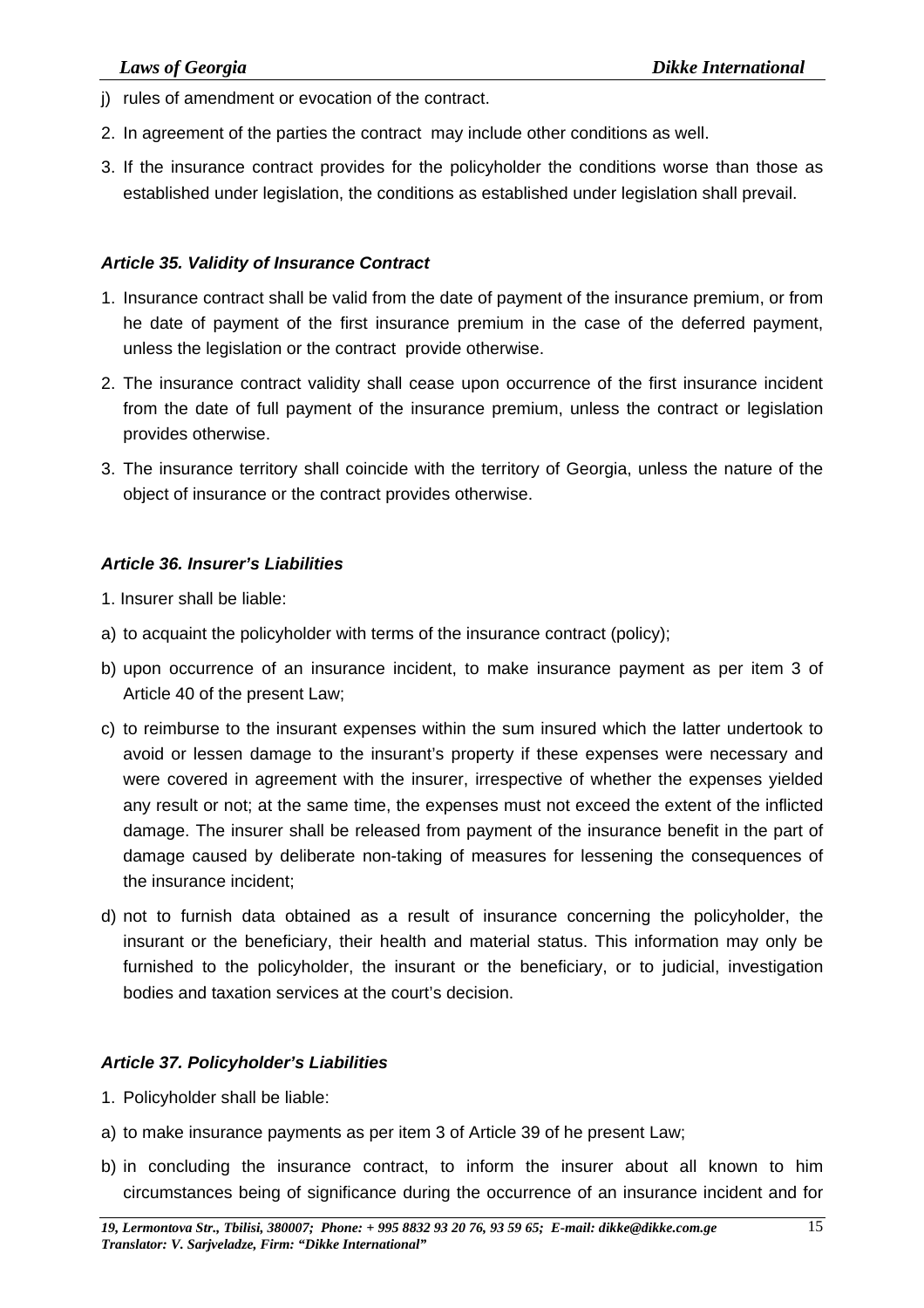- j) rules of amendment or evocation of the contract.
- 2. In agreement of the parties the contract may include other conditions as well.
- 3. If the insurance contract provides for the policyholder the conditions worse than those as established under legislation, the conditions as established under legislation shall prevail.

#### *Article 35. Validity of Insurance Contract*

- 1. Insurance contract shall be valid from the date of payment of the insurance premium, or from he date of payment of the first insurance premium in the case of the deferred payment, unless the legislation or the contract provide otherwise.
- 2. The insurance contract validity shall cease upon occurrence of the first insurance incident from the date of full payment of the insurance premium, unless the contract or legislation provides otherwise.
- 3. The insurance territory shall coincide with the territory of Georgia, unless the nature of the object of insurance or the contract provides otherwise.

#### *Article 36. Insurer's Liabilities*

- 1. Insurer shall be liable:
- a) to acquaint the policyholder with terms of the insurance contract (policy);
- b) upon occurrence of an insurance incident, to make insurance payment as per item 3 of Article 40 of the present Law;
- c) to reimburse to the insurant expenses within the sum insured which the latter undertook to avoid or lessen damage to the insurant's property if these expenses were necessary and were covered in agreement with the insurer, irrespective of whether the expenses yielded any result or not; at the same time, the expenses must not exceed the extent of the inflicted damage. The insurer shall be released from payment of the insurance benefit in the part of damage caused by deliberate non-taking of measures for lessening the consequences of the insurance incident;
- d) not to furnish data obtained as a result of insurance concerning the policyholder, the insurant or the beneficiary, their health and material status. This information may only be furnished to the policyholder, the insurant or the beneficiary, or to judicial, investigation bodies and taxation services at the court's decision.

### *Article 37. Policyholder's Liabilities*

- 1. Policyholder shall be liable:
- a) to make insurance payments as per item 3 of Article 39 of he present Law;
- b) in concluding the insurance contract, to inform the insurer about all known to him circumstances being of significance during the occurrence of an insurance incident and for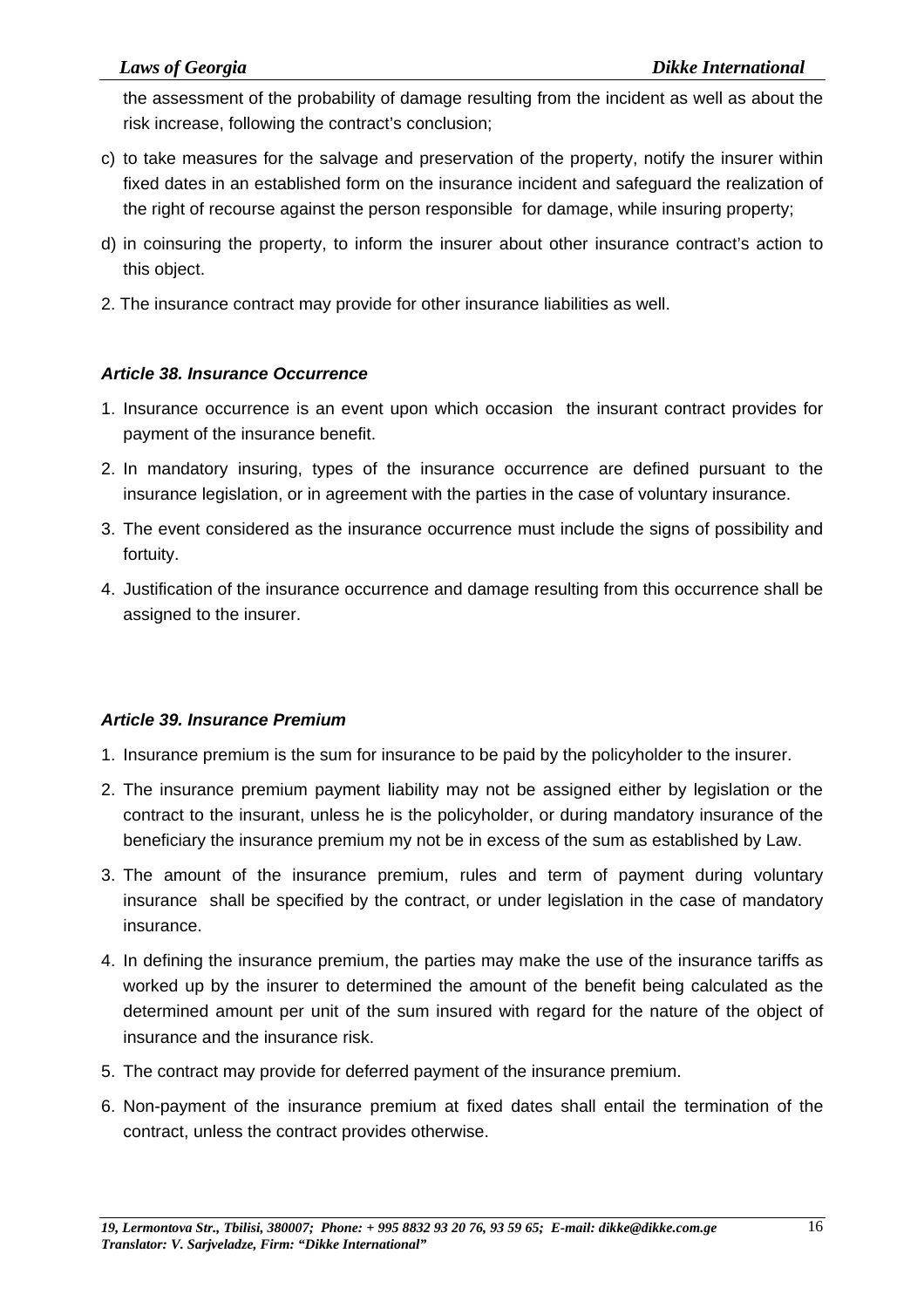the assessment of the probability of damage resulting from the incident as well as about the risk increase, following the contract's conclusion;

- c) to take measures for the salvage and preservation of the property, notify the insurer within fixed dates in an established form on the insurance incident and safeguard the realization of the right of recourse against the person responsible for damage, while insuring property;
- d) in coinsuring the property, to inform the insurer about other insurance contract's action to this object.
- 2. The insurance contract may provide for other insurance liabilities as well.

#### *Article 38. Insurance Occurrence*

- 1. Insurance occurrence is an event upon which occasion the insurant contract provides for payment of the insurance benefit.
- 2. In mandatory insuring, types of the insurance occurrence are defined pursuant to the insurance legislation, or in agreement with the parties in the case of voluntary insurance.
- 3. The event considered as the insurance occurrence must include the signs of possibility and fortuity.
- 4. Justification of the insurance occurrence and damage resulting from this occurrence shall be assigned to the insurer.

#### *Article 39. Insurance Premium*

- 1. Insurance premium is the sum for insurance to be paid by the policyholder to the insurer.
- 2. The insurance premium payment liability may not be assigned either by legislation or the contract to the insurant, unless he is the policyholder, or during mandatory insurance of the beneficiary the insurance premium my not be in excess of the sum as established by Law.
- 3. The amount of the insurance premium, rules and term of payment during voluntary insurance shall be specified by the contract, or under legislation in the case of mandatory insurance.
- 4. In defining the insurance premium, the parties may make the use of the insurance tariffs as worked up by the insurer to determined the amount of the benefit being calculated as the determined amount per unit of the sum insured with regard for the nature of the object of insurance and the insurance risk.
- 5. The contract may provide for deferred payment of the insurance premium.
- 6. Non-payment of the insurance premium at fixed dates shall entail the termination of the contract, unless the contract provides otherwise.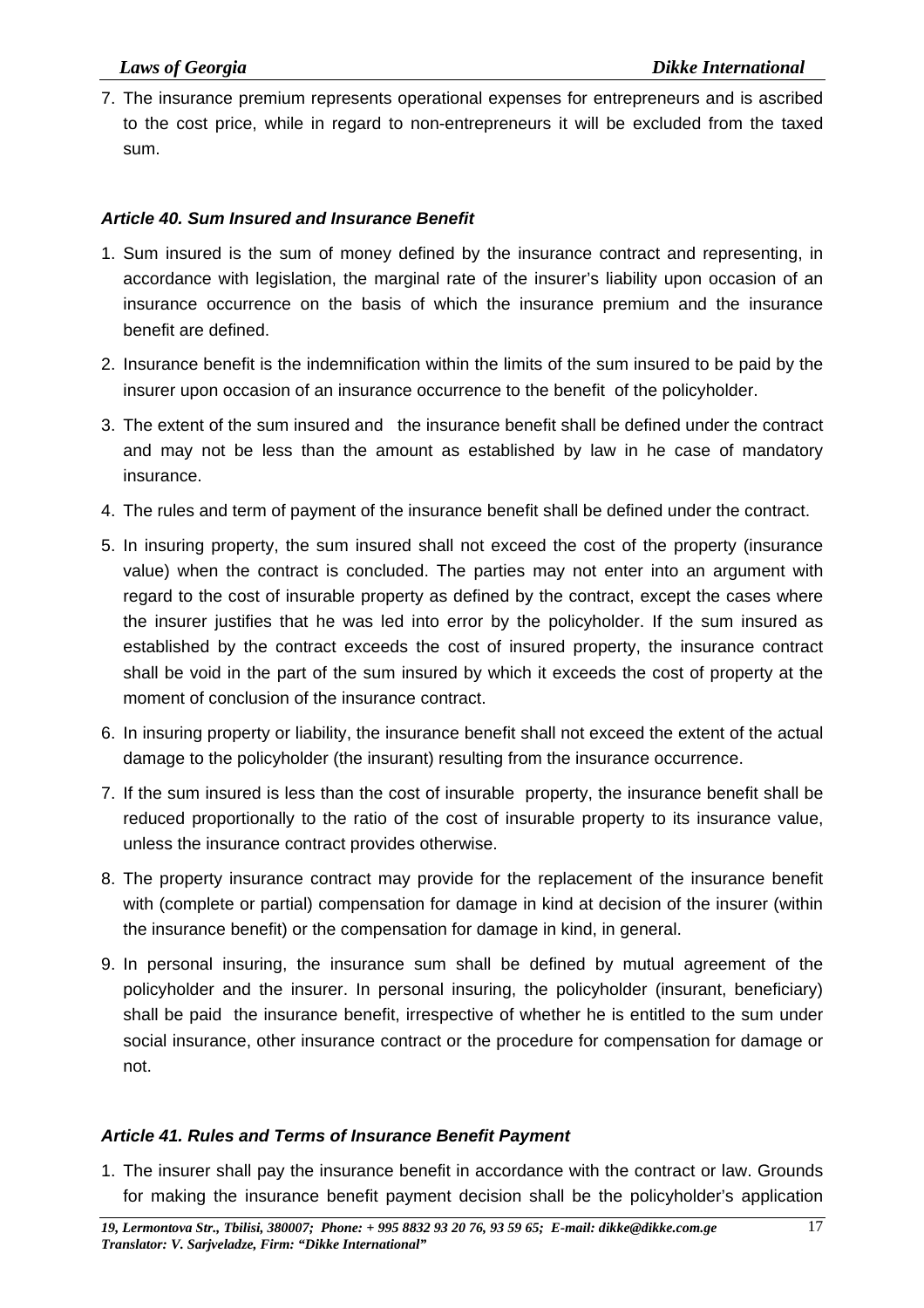7. The insurance premium represents operational expenses for entrepreneurs and is ascribed to the cost price, while in regard to non-entrepreneurs it will be excluded from the taxed sum.

#### *Article 40. Sum Insured and Insurance Benefit*

- 1. Sum insured is the sum of money defined by the insurance contract and representing, in accordance with legislation, the marginal rate of the insurer's liability upon occasion of an insurance occurrence on the basis of which the insurance premium and the insurance benefit are defined.
- 2. Insurance benefit is the indemnification within the limits of the sum insured to be paid by the insurer upon occasion of an insurance occurrence to the benefit of the policyholder.
- 3. The extent of the sum insured and the insurance benefit shall be defined under the contract and may not be less than the amount as established by law in he case of mandatory insurance.
- 4. The rules and term of payment of the insurance benefit shall be defined under the contract.
- 5. In insuring property, the sum insured shall not exceed the cost of the property (insurance value) when the contract is concluded. The parties may not enter into an argument with regard to the cost of insurable property as defined by the contract, except the cases where the insurer justifies that he was led into error by the policyholder. If the sum insured as established by the contract exceeds the cost of insured property, the insurance contract shall be void in the part of the sum insured by which it exceeds the cost of property at the moment of conclusion of the insurance contract.
- 6. In insuring property or liability, the insurance benefit shall not exceed the extent of the actual damage to the policyholder (the insurant) resulting from the insurance occurrence.
- 7. If the sum insured is less than the cost of insurable property, the insurance benefit shall be reduced proportionally to the ratio of the cost of insurable property to its insurance value, unless the insurance contract provides otherwise.
- 8. The property insurance contract may provide for the replacement of the insurance benefit with (complete or partial) compensation for damage in kind at decision of the insurer (within the insurance benefit) or the compensation for damage in kind, in general.
- 9. In personal insuring, the insurance sum shall be defined by mutual agreement of the policyholder and the insurer. In personal insuring, the policyholder (insurant, beneficiary) shall be paid the insurance benefit, irrespective of whether he is entitled to the sum under social insurance, other insurance contract or the procedure for compensation for damage or not.

### *Article 41. Rules and Terms of Insurance Benefit Payment*

1. The insurer shall pay the insurance benefit in accordance with the contract or law. Grounds for making the insurance benefit payment decision shall be the policyholder's application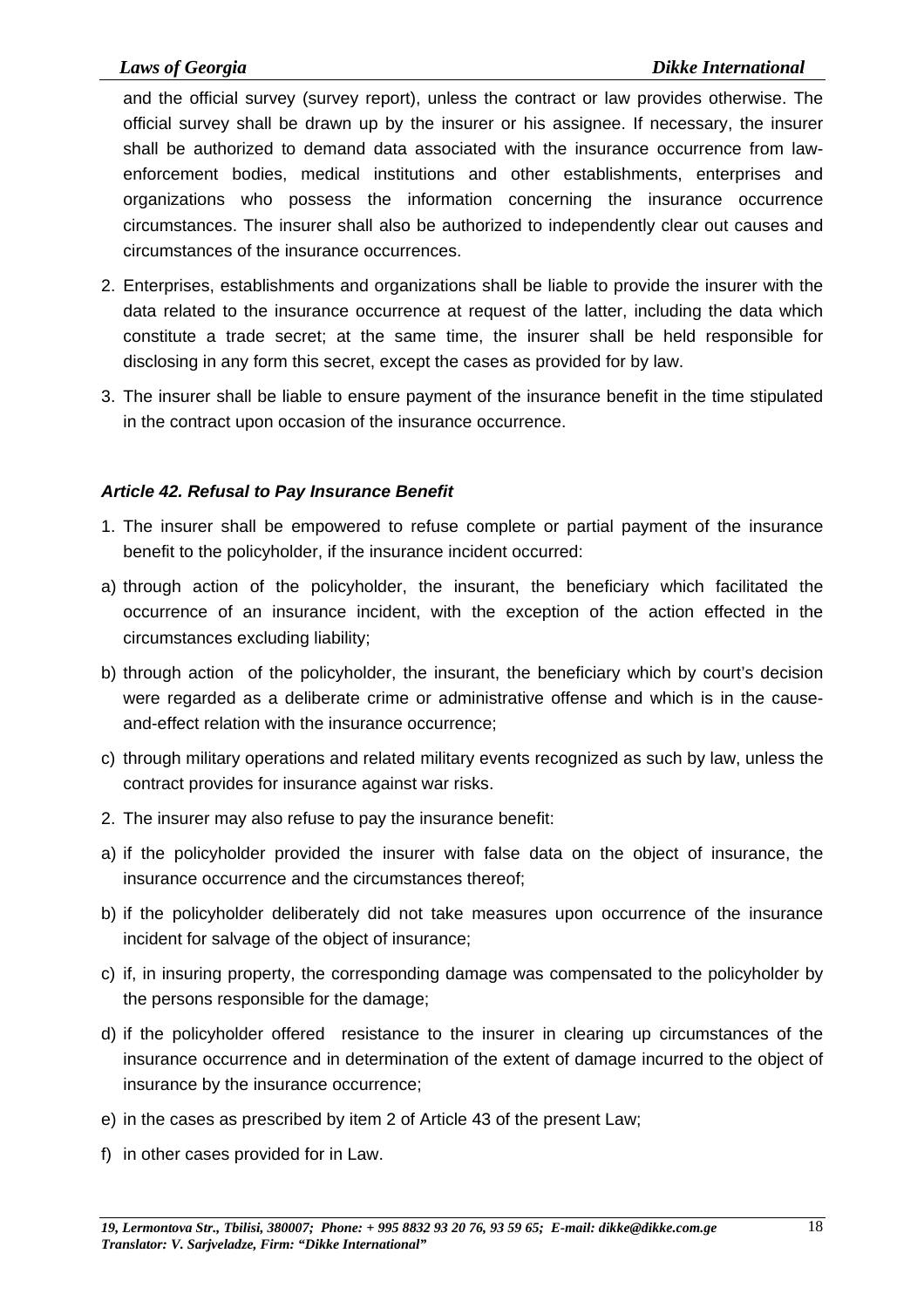and the official survey (survey report), unless the contract or law provides otherwise. The official survey shall be drawn up by the insurer or his assignee. If necessary, the insurer shall be authorized to demand data associated with the insurance occurrence from lawenforcement bodies, medical institutions and other establishments, enterprises and organizations who possess the information concerning the insurance occurrence circumstances. The insurer shall also be authorized to independently clear out causes and circumstances of the insurance occurrences.

- 2. Enterprises, establishments and organizations shall be liable to provide the insurer with the data related to the insurance occurrence at request of the latter, including the data which constitute a trade secret; at the same time, the insurer shall be held responsible for disclosing in any form this secret, except the cases as provided for by law.
- 3. The insurer shall be liable to ensure payment of the insurance benefit in the time stipulated in the contract upon occasion of the insurance occurrence.

#### *Article 42. Refusal to Pay Insurance Benefit*

- 1. The insurer shall be empowered to refuse complete or partial payment of the insurance benefit to the policyholder, if the insurance incident occurred:
- a) through action of the policyholder, the insurant, the beneficiary which facilitated the occurrence of an insurance incident, with the exception of the action effected in the circumstances excluding liability;
- b) through action of the policyholder, the insurant, the beneficiary which by court's decision were regarded as a deliberate crime or administrative offense and which is in the causeand-effect relation with the insurance occurrence;
- c) through military operations and related military events recognized as such by law, unless the contract provides for insurance against war risks.
- 2. The insurer may also refuse to pay the insurance benefit:
- a) if the policyholder provided the insurer with false data on the object of insurance, the insurance occurrence and the circumstances thereof;
- b) if the policyholder deliberately did not take measures upon occurrence of the insurance incident for salvage of the object of insurance;
- c) if, in insuring property, the corresponding damage was compensated to the policyholder by the persons responsible for the damage;
- d) if the policyholder offered resistance to the insurer in clearing up circumstances of the insurance occurrence and in determination of the extent of damage incurred to the object of insurance by the insurance occurrence;
- e) in the cases as prescribed by item 2 of Article 43 of the present Law;
- f) in other cases provided for in Law.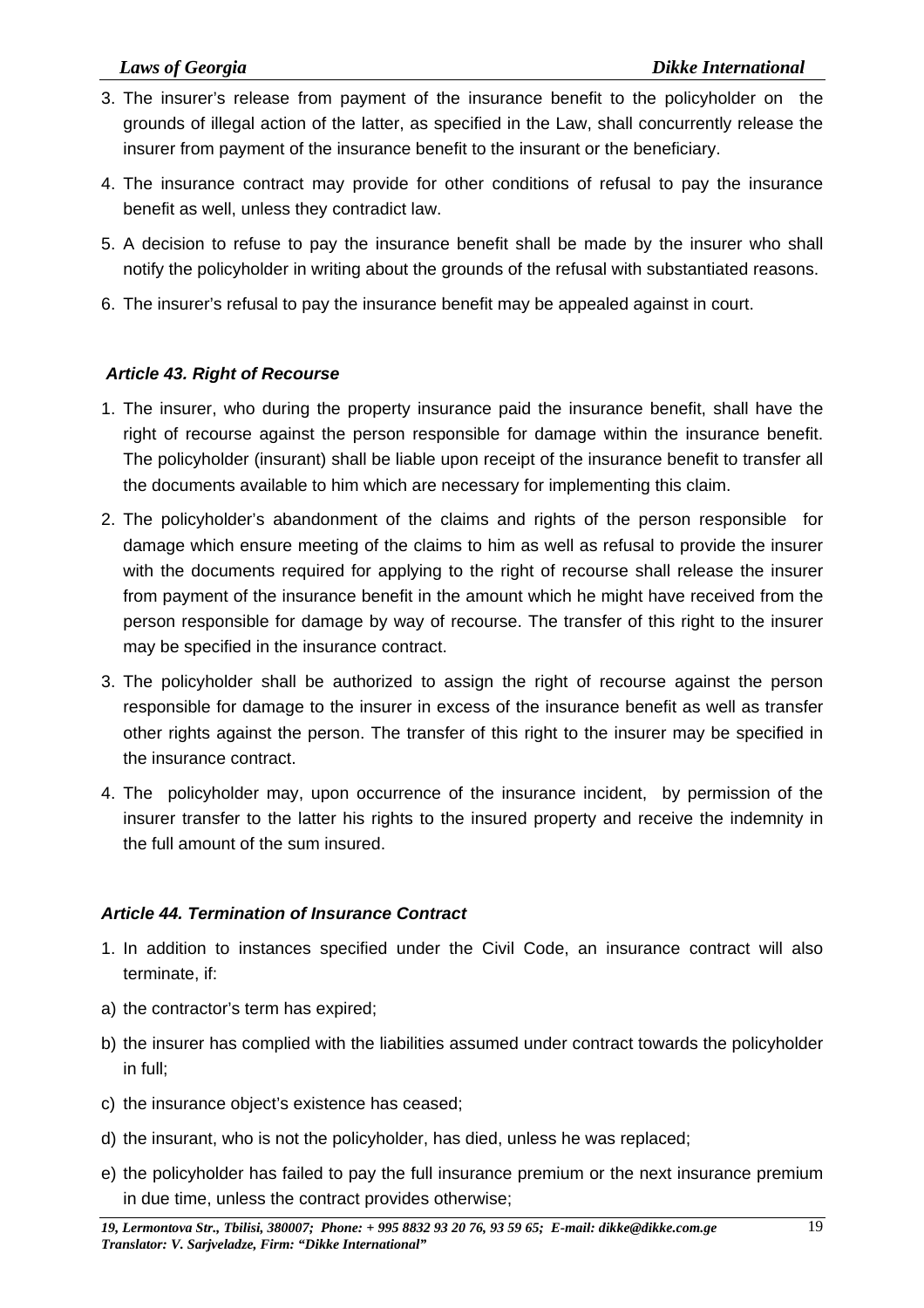- 3. The insurer's release from payment of the insurance benefit to the policyholder on the grounds of illegal action of the latter, as specified in the Law, shall concurrently release the insurer from payment of the insurance benefit to the insurant or the beneficiary.
- 4. The insurance contract may provide for other conditions of refusal to pay the insurance benefit as well, unless they contradict law.
- 5. A decision to refuse to pay the insurance benefit shall be made by the insurer who shall notify the policyholder in writing about the grounds of the refusal with substantiated reasons.
- 6. The insurer's refusal to pay the insurance benefit may be appealed against in court.

#### *Article 43. Right of Recourse*

- 1. The insurer, who during the property insurance paid the insurance benefit, shall have the right of recourse against the person responsible for damage within the insurance benefit. The policyholder (insurant) shall be liable upon receipt of the insurance benefit to transfer all the documents available to him which are necessary for implementing this claim.
- 2. The policyholder's abandonment of the claims and rights of the person responsible for damage which ensure meeting of the claims to him as well as refusal to provide the insurer with the documents required for applying to the right of recourse shall release the insurer from payment of the insurance benefit in the amount which he might have received from the person responsible for damage by way of recourse. The transfer of this right to the insurer may be specified in the insurance contract.
- 3. The policyholder shall be authorized to assign the right of recourse against the person responsible for damage to the insurer in excess of the insurance benefit as well as transfer other rights against the person. The transfer of this right to the insurer may be specified in the insurance contract.
- 4. The policyholder may, upon occurrence of the insurance incident, by permission of the insurer transfer to the latter his rights to the insured property and receive the indemnity in the full amount of the sum insured.

#### *Article 44. Termination of Insurance Contract*

- 1. In addition to instances specified under the Civil Code, an insurance contract will also terminate, if:
- a) the contractor's term has expired;
- b) the insurer has complied with the liabilities assumed under contract towards the policyholder in full;
- c) the insurance object's existence has ceased;
- d) the insurant, who is not the policyholder, has died, unless he was replaced;
- e) the policyholder has failed to pay the full insurance premium or the next insurance premium in due time, unless the contract provides otherwise;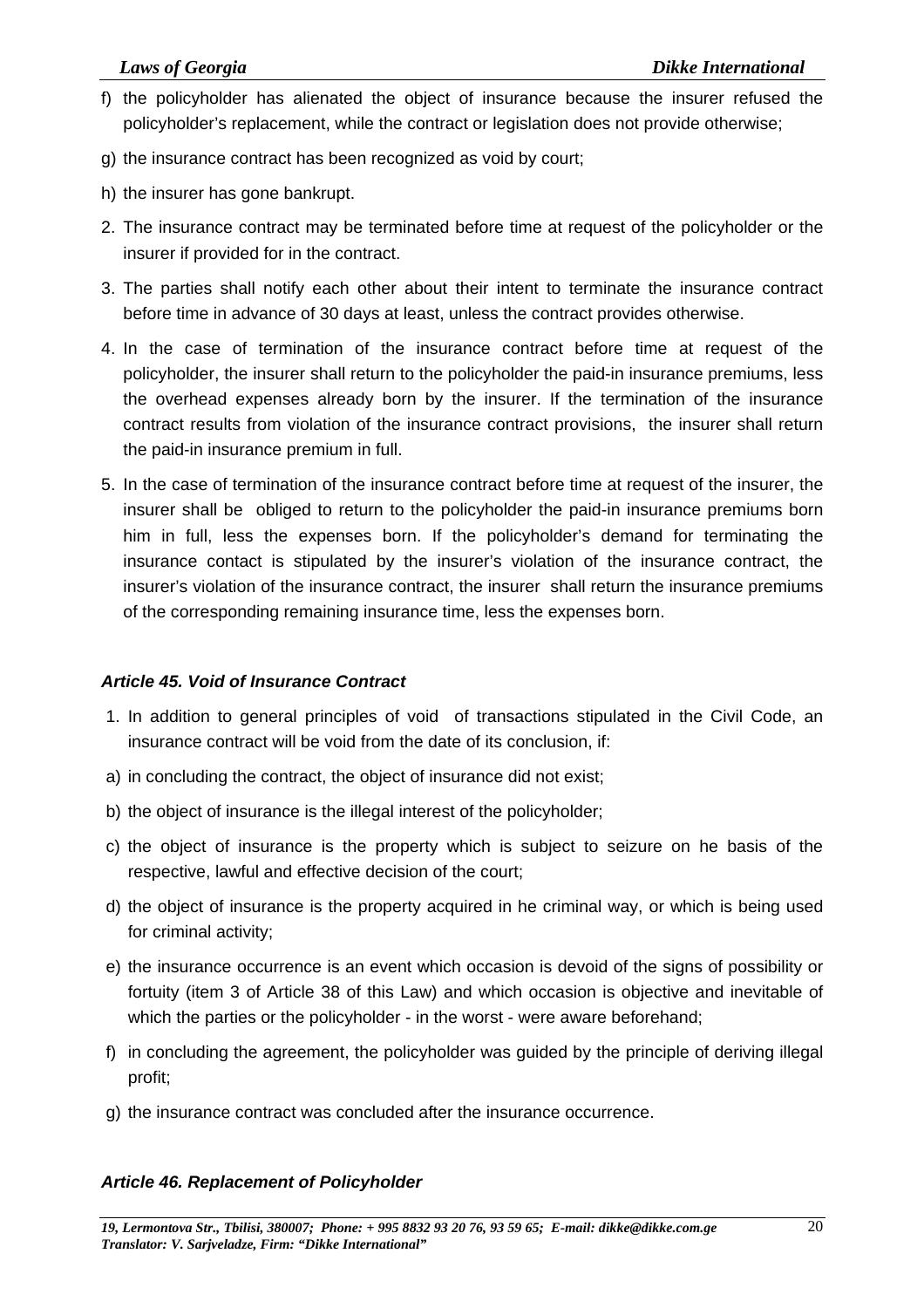- f) the policyholder has alienated the object of insurance because the insurer refused the policyholder's replacement, while the contract or legislation does not provide otherwise;
- g) the insurance contract has been recognized as void by court;
- h) the insurer has gone bankrupt.
- 2. The insurance contract may be terminated before time at request of the policyholder or the insurer if provided for in the contract.
- 3. The parties shall notify each other about their intent to terminate the insurance contract before time in advance of 30 days at least, unless the contract provides otherwise.
- 4. In the case of termination of the insurance contract before time at request of the policyholder, the insurer shall return to the policyholder the paid-in insurance premiums, less the overhead expenses already born by the insurer. If the termination of the insurance contract results from violation of the insurance contract provisions, the insurer shall return the paid-in insurance premium in full.
- 5. In the case of termination of the insurance contract before time at request of the insurer, the insurer shall be obliged to return to the policyholder the paid-in insurance premiums born him in full, less the expenses born. If the policyholder's demand for terminating the insurance contact is stipulated by the insurer's violation of the insurance contract, the insurer's violation of the insurance contract, the insurer shall return the insurance premiums of the corresponding remaining insurance time, less the expenses born.

#### *Article 45. Void of Insurance Contract*

- 1. In addition to general principles of void of transactions stipulated in the Civil Code, an insurance contract will be void from the date of its conclusion, if:
- a) in concluding the contract, the object of insurance did not exist;
- b) the object of insurance is the illegal interest of the policyholder;
- c) the object of insurance is the property which is subject to seizure on he basis of the respective, lawful and effective decision of the court;
- d) the object of insurance is the property acquired in he criminal way, or which is being used for criminal activity;
- e) the insurance occurrence is an event which occasion is devoid of the signs of possibility or fortuity (item 3 of Article 38 of this Law) and which occasion is objective and inevitable of which the parties or the policyholder - in the worst - were aware beforehand;
- f) in concluding the agreement, the policyholder was guided by the principle of deriving illegal profit;
- g) the insurance contract was concluded after the insurance occurrence.

#### *Article 46. Replacement of Policyholder*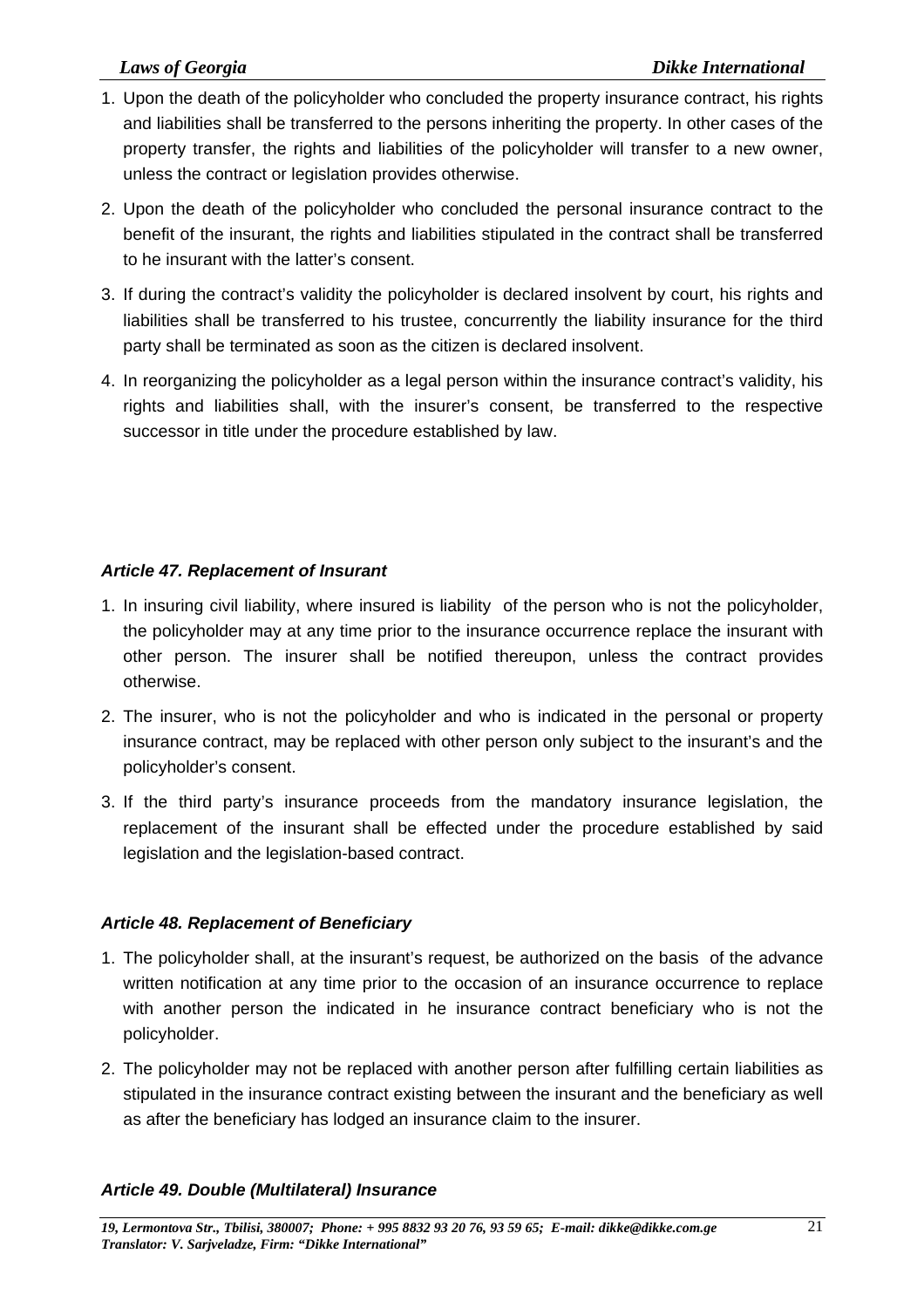- 1. Upon the death of the policyholder who concluded the property insurance contract, his rights and liabilities shall be transferred to the persons inheriting the property. In other cases of the property transfer, the rights and liabilities of the policyholder will transfer to a new owner, unless the contract or legislation provides otherwise.
- 2. Upon the death of the policyholder who concluded the personal insurance contract to the benefit of the insurant, the rights and liabilities stipulated in the contract shall be transferred to he insurant with the latter's consent.
- 3. If during the contract's validity the policyholder is declared insolvent by court, his rights and liabilities shall be transferred to his trustee, concurrently the liability insurance for the third party shall be terminated as soon as the citizen is declared insolvent.
- 4. In reorganizing the policyholder as a legal person within the insurance contract's validity, his rights and liabilities shall, with the insurer's consent, be transferred to the respective successor in title under the procedure established by law.

#### *Article 47. Replacement of Insurant*

- 1. In insuring civil liability, where insured is liability of the person who is not the policyholder, the policyholder may at any time prior to the insurance occurrence replace the insurant with other person. The insurer shall be notified thereupon, unless the contract provides otherwise.
- 2. The insurer, who is not the policyholder and who is indicated in the personal or property insurance contract, may be replaced with other person only subject to the insurant's and the policyholder's consent.
- 3. If the third party's insurance proceeds from the mandatory insurance legislation, the replacement of the insurant shall be effected under the procedure established by said legislation and the legislation-based contract.

#### *Article 48. Replacement of Beneficiary*

- 1. The policyholder shall, at the insurant's request, be authorized on the basis of the advance written notification at any time prior to the occasion of an insurance occurrence to replace with another person the indicated in he insurance contract beneficiary who is not the policyholder.
- 2. The policyholder may not be replaced with another person after fulfilling certain liabilities as stipulated in the insurance contract existing between the insurant and the beneficiary as well as after the beneficiary has lodged an insurance claim to the insurer.

#### *Article 49. Double (Multilateral) Insurance*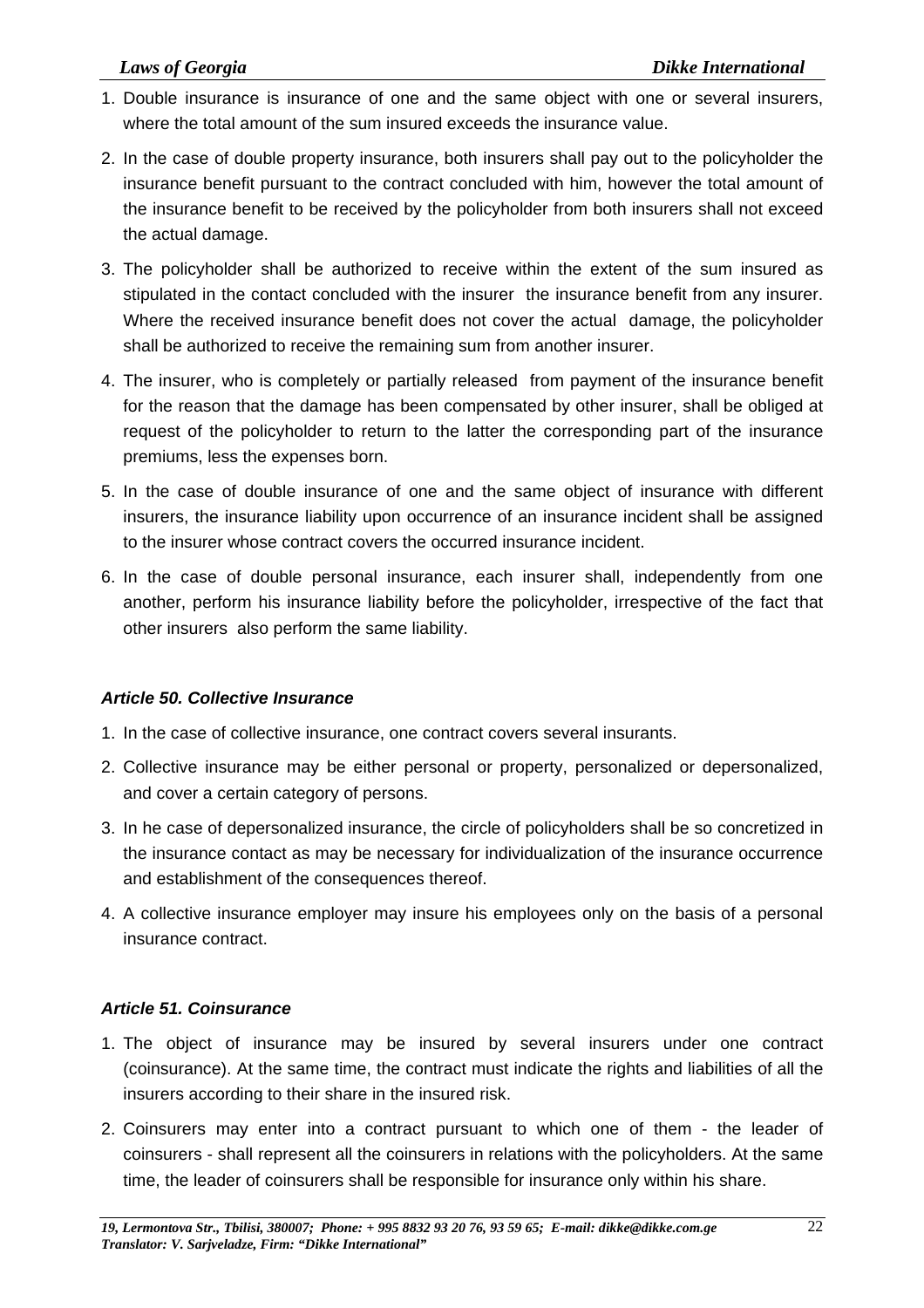- 1. Double insurance is insurance of one and the same object with one or several insurers, where the total amount of the sum insured exceeds the insurance value.
- 2. In the case of double property insurance, both insurers shall pay out to the policyholder the insurance benefit pursuant to the contract concluded with him, however the total amount of the insurance benefit to be received by the policyholder from both insurers shall not exceed the actual damage.
- 3. The policyholder shall be authorized to receive within the extent of the sum insured as stipulated in the contact concluded with the insurer the insurance benefit from any insurer. Where the received insurance benefit does not cover the actual damage, the policyholder shall be authorized to receive the remaining sum from another insurer.
- 4. The insurer, who is completely or partially released from payment of the insurance benefit for the reason that the damage has been compensated by other insurer, shall be obliged at request of the policyholder to return to the latter the corresponding part of the insurance premiums, less the expenses born.
- 5. In the case of double insurance of one and the same object of insurance with different insurers, the insurance liability upon occurrence of an insurance incident shall be assigned to the insurer whose contract covers the occurred insurance incident.
- 6. In the case of double personal insurance, each insurer shall, independently from one another, perform his insurance liability before the policyholder, irrespective of the fact that other insurers also perform the same liability.

#### *Article 50. Collective Insurance*

- 1. In the case of collective insurance, one contract covers several insurants.
- 2. Collective insurance may be either personal or property, personalized or depersonalized, and cover a certain category of persons.
- 3. In he case of depersonalized insurance, the circle of policyholders shall be so concretized in the insurance contact as may be necessary for individualization of the insurance occurrence and establishment of the consequences thereof.
- 4. A collective insurance employer may insure his employees only on the basis of a personal insurance contract.

### *Article 51. Coinsurance*

- 1. The object of insurance may be insured by several insurers under one contract (coinsurance). At the same time, the contract must indicate the rights and liabilities of all the insurers according to their share in the insured risk.
- 2. Coinsurers may enter into a contract pursuant to which one of them the leader of coinsurers - shall represent all the coinsurers in relations with the policyholders. At the same time, the leader of coinsurers shall be responsible for insurance only within his share.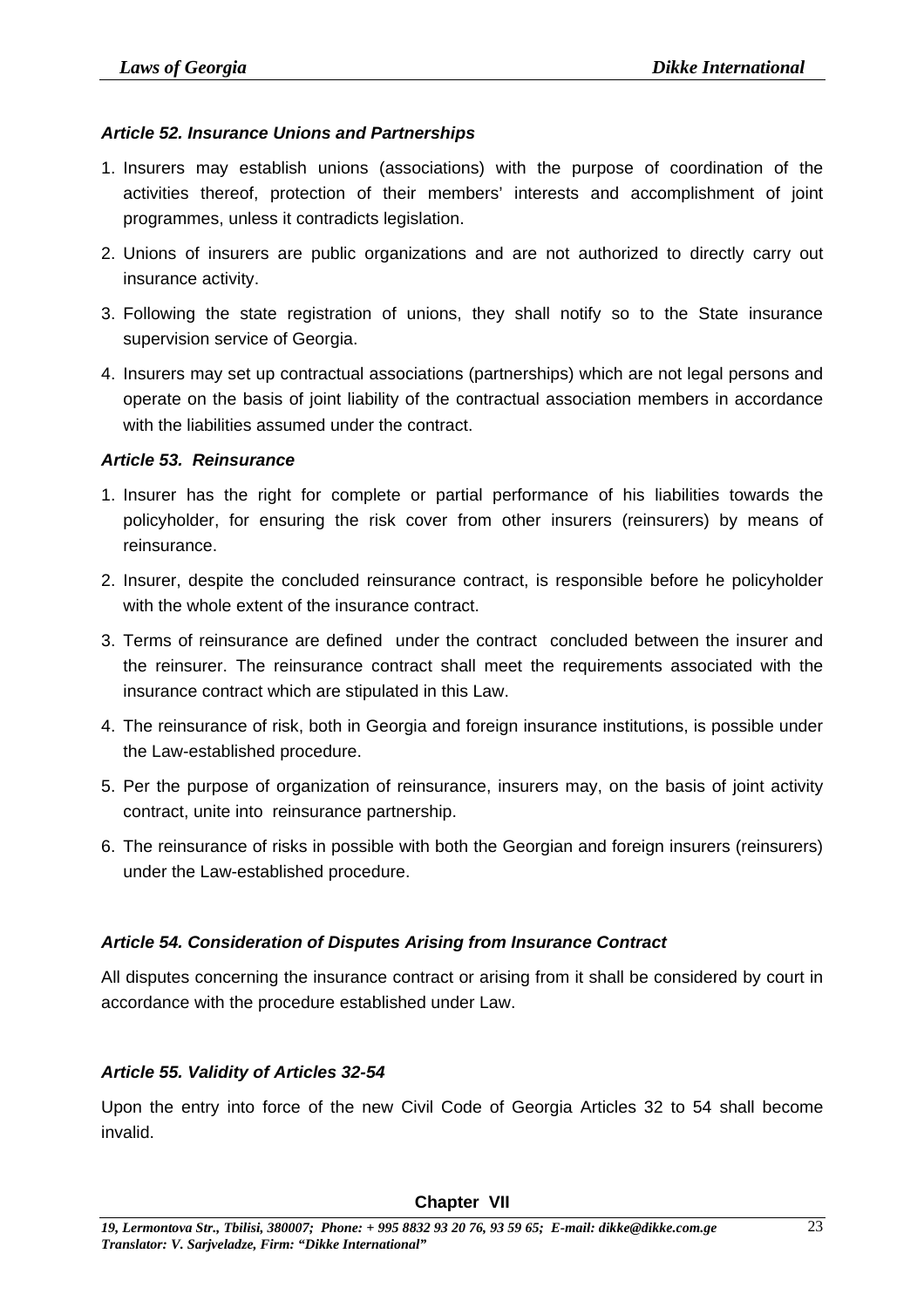#### *Article 52. Insurance Unions and Partnerships*

- 1. Insurers may establish unions (associations) with the purpose of coordination of the activities thereof, protection of their members' interests and accomplishment of joint programmes, unless it contradicts legislation.
- 2. Unions of insurers are public organizations and are not authorized to directly carry out insurance activity.
- 3. Following the state registration of unions, they shall notify so to the State insurance supervision service of Georgia.
- 4. Insurers may set up contractual associations (partnerships) which are not legal persons and operate on the basis of joint liability of the contractual association members in accordance with the liabilities assumed under the contract.

#### *Article 53. Reinsurance*

- 1. Insurer has the right for complete or partial performance of his liabilities towards the policyholder, for ensuring the risk cover from other insurers (reinsurers) by means of reinsurance.
- 2. Insurer, despite the concluded reinsurance contract, is responsible before he policyholder with the whole extent of the insurance contract.
- 3. Terms of reinsurance are defined under the contract concluded between the insurer and the reinsurer. The reinsurance contract shall meet the requirements associated with the insurance contract which are stipulated in this Law.
- 4. The reinsurance of risk, both in Georgia and foreign insurance institutions, is possible under the Law-established procedure.
- 5. Per the purpose of organization of reinsurance, insurers may, on the basis of joint activity contract, unite into reinsurance partnership.
- 6. The reinsurance of risks in possible with both the Georgian and foreign insurers (reinsurers) under the Law-established procedure.

### *Article 54. Consideration of Disputes Arising from Insurance Contract*

All disputes concerning the insurance contract or arising from it shall be considered by court in accordance with the procedure established under Law.

### *Article 55. Validity of Articles 32-54*

Upon the entry into force of the new Civil Code of Georgia Articles 32 to 54 shall become invalid.